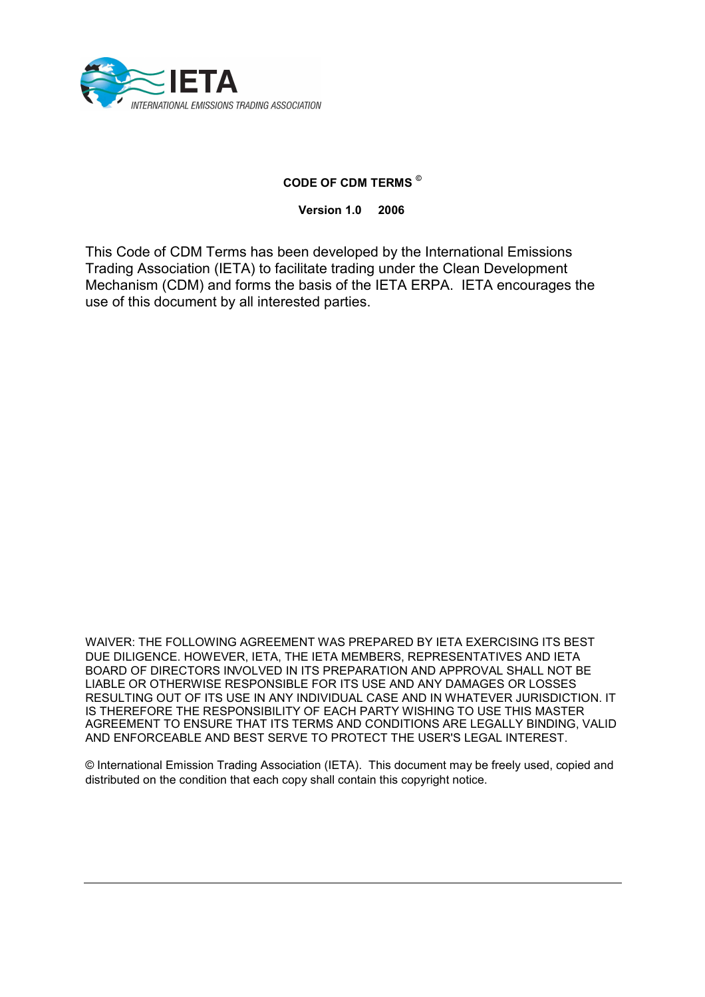

# **CODE OF CDM TERMS ©**

**Version 1.0 2006**

This Code of CDM Terms has been developed by the International Emissions Trading Association (IETA) to facilitate trading under the Clean Development Mechanism (CDM) and forms the basis of the IETA ERPA. IETA encourages the use of this document by all interested parties.

WAIVER: THE FOLLOWING AGREEMENT WAS PREPARED BY IETA EXERCISING ITS BEST DUE DILIGENCE. HOWEVER, IETA, THE IETA MEMBERS, REPRESENTATIVES AND IETA BOARD OF DIRECTORS INVOLVED IN ITS PREPARATION AND APPROVAL SHALL NOT BE LIABLE OR OTHERWISE RESPONSIBLE FOR ITS USE AND ANY DAMAGES OR LOSSES RESULTING OUT OF ITS USE IN ANY INDIVIDUAL CASE AND IN WHATEVER JURISDICTION. IT IS THEREFORE THE RESPONSIBILITY OF EACH PARTY WISHING TO USE THIS MASTER AGREEMENT TO ENSURE THAT ITS TERMS AND CONDITIONS ARE LEGALLY BINDING, VALID AND ENFORCEABLE AND BEST SERVE TO PROTECT THE USER'S LEGAL INTEREST.

© International Emission Trading Association (IETA). This document may be freely used, copied and distributed on the condition that each copy shall contain this copyright notice.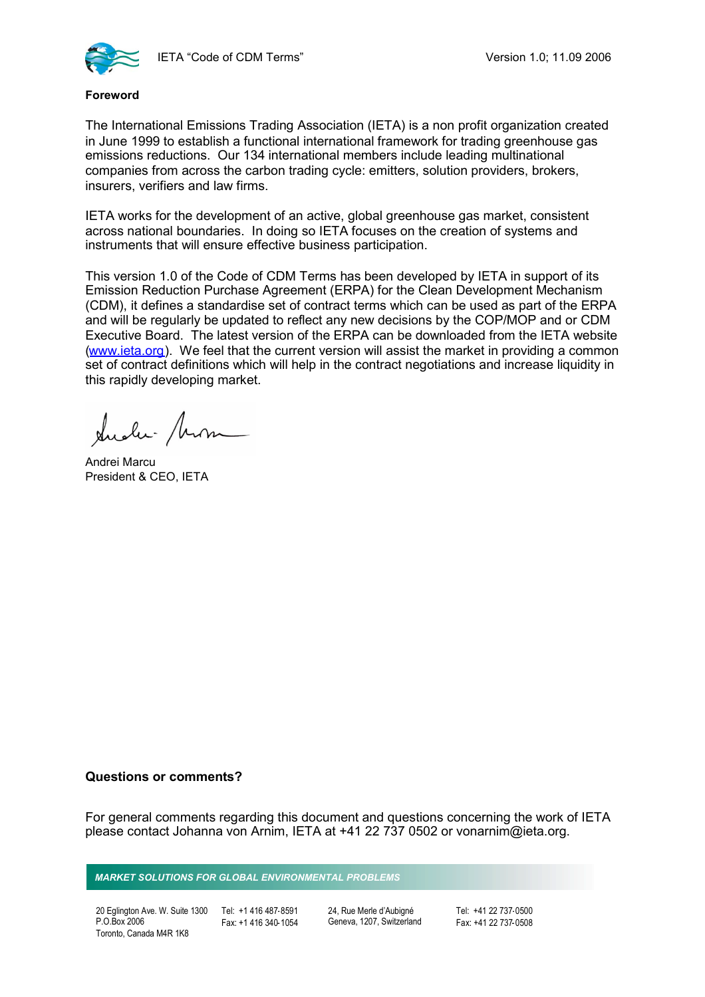

#### **Foreword**

The International Emissions Trading Association (IETA) is a non profit organization created in June 1999 to establish a functional international framework for trading greenhouse gas emissions reductions. Our 134 international members include leading multinational companies from across the carbon trading cycle: emitters, solution providers, brokers, insurers, verifiers and law firms.

IETA works for the development of an active, global greenhouse gas market, consistent across national boundaries. In doing so IETA focuses on the creation of systems and instruments that will ensure effective business participation.

This version 1.0 of the Code of CDM Terms has been developed by IETA in support of its Emission Reduction Purchase Agreement (ERPA) for the Clean Development Mechanism (CDM), it defines a standardise set of contract terms which can be used as part of the ERPA and will be regularly be updated to reflect any new decisions by the COP/MOP and or CDM Executive Board. The latest version of the ERPA can be downloaded from the IETA website (www.ieta.org). We feel that the current version will assist the market in providing a common set of contract definitions which will help in the contract negotiations and increase liquidity in this rapidly developing market.

Suche- Min

Andrei Marcu President & CEO, IETA

## **Questions or comments?**

For general comments regarding this document and questions concerning the work of IETA please contact Johanna von Arnim, IETA at +41 22 737 0502 or vonarnim@ieta.org.

*MARKET SOLUTIONS FOR GLOBAL ENVIRONMENTAL PROBLEMS*

20 Eglington Ave. W. Suite 1300 Tel: +1 416 487-8591 P.O.Box 2006 Toronto, Canada M4R 1K8

Fax: +1 416 340-1054

24, Rue Merle d'Aubigné Geneva, 1207, Switzerland Tel: +41 22 737-0500 Fax: +41 22 737-0508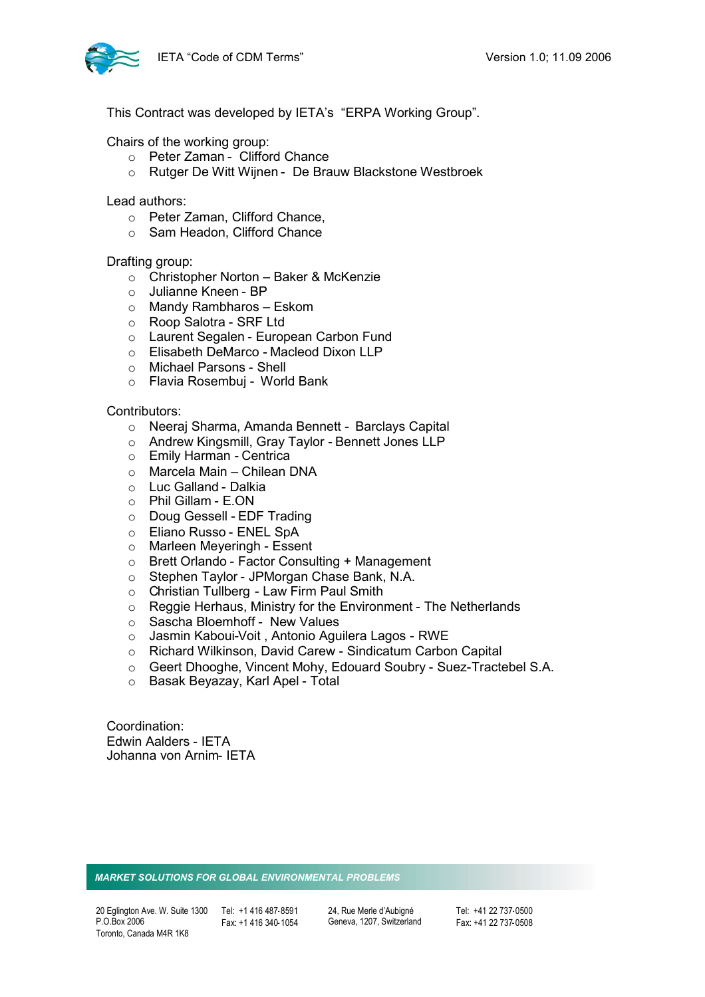

This Contract was developed by IETA's "ERPA Working Group".

Chairs of the working group:

- o Peter Zaman Clifford Chance
- o Rutger De Witt Wijnen De Brauw Blackstone Westbroek

Lead authors:

- o Peter Zaman, Clifford Chance,
- o Sam Headon, Clifford Chance

Drafting group:

- o Christopher Norton Baker & McKenzie
- o Julianne Kneen BP
- o Mandy Rambharos Eskom
- o Roop Salotra SRF Ltd
- o Laurent Segalen European Carbon Fund
- o Elisabeth DeMarco Macleod Dixon LLP
- o Michael Parsons Shell
- o Flavia Rosembuj World Bank

# Contributors:

- o Neeraj Sharma, Amanda Bennett Barclays Capital
- o Andrew Kingsmill, Gray Taylor Bennett Jones LLP
- o Emily Harman Centrica
- o Marcela Main Chilean DNA
- o Luc Galland Dalkia
- o Phil Gillam E.ON
- o Doug Gessell EDF Trading
- o Eliano Russo ENEL SpA
- o Marleen Meyeringh Essent
- o Brett Orlando Factor Consulting + Management
- o Stephen Taylor JPMorgan Chase Bank, N.A.
- o Christian Tullberg Law Firm Paul Smith
- o Reggie Herhaus, Ministry for the Environment The Netherlands
- o Sascha Bloemhoff New Values
- o Jasmin Kaboui-Voit , Antonio Aguilera Lagos RWE
- o Richard Wilkinson, David Carew Sindicatum Carbon Capital
- o Geert Dhooghe, Vincent Mohy, Edouard Soubry Suez-Tractebel S.A.
- o Basak Beyazay, Karl Apel Total

Coordination: Edwin Aalders - IETA Johanna von Arnim- IETA

*MARKET SOLUTIONS FOR GLOBAL ENVIRONMENTAL PROBLEMS*

Tel: +41 22 737-0500 Fax: +41 22 737-0508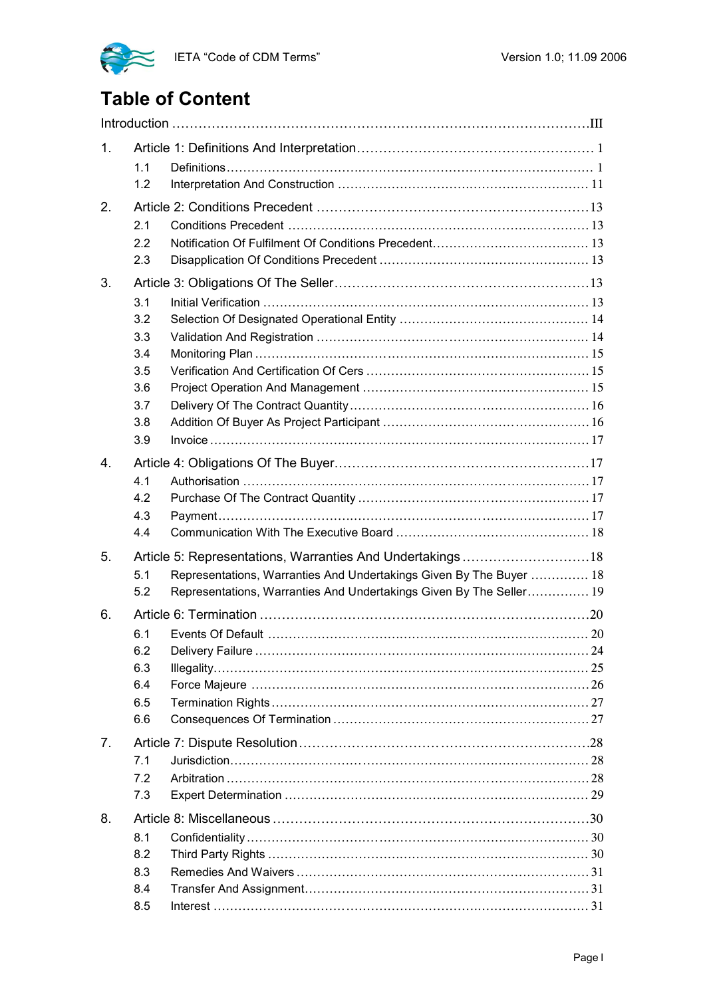

# **Table of Content**

| 1.             | 1.1<br>1.2                                                                                                                                                                                                            |  |  |
|----------------|-----------------------------------------------------------------------------------------------------------------------------------------------------------------------------------------------------------------------|--|--|
| 2.             | 2.1<br>2.2<br>2.3                                                                                                                                                                                                     |  |  |
| 3.             | 3.1<br>3.2<br>3.3<br>3.4<br>3.5<br>3.6<br>3.7<br>3.8<br>3.9                                                                                                                                                           |  |  |
| $\mathbf{4}$ . | 4.1<br>4.2<br>4.3<br>4.4                                                                                                                                                                                              |  |  |
| 5.             | Article 5: Representations, Warranties And Undertakings18<br>Representations, Warranties And Undertakings Given By The Buyer  18<br>5.1<br>Representations, Warranties And Undertakings Given By The Seller 19<br>5.2 |  |  |
| 6.             | 6.1<br>6.2<br>6.3<br>6.4<br>6.5<br>6.6                                                                                                                                                                                |  |  |
| 7.             | 7.1<br>7.2<br>7.3                                                                                                                                                                                                     |  |  |
| 8.             | 8.1<br>8.2<br>8.3<br>8.4<br>8.5                                                                                                                                                                                       |  |  |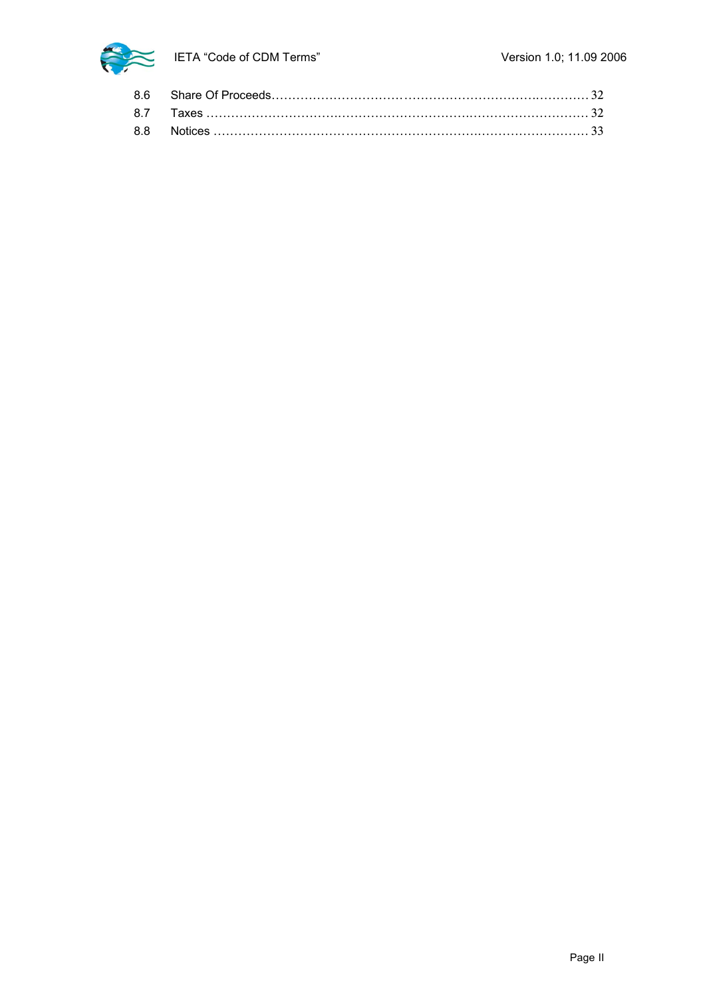

a a contra de la contra de la contra de la contra de la contra de la contra de la contra de la contra de la contra de la contra de la contra de la contra de la contra de la contra de la contra de la contra de la contra de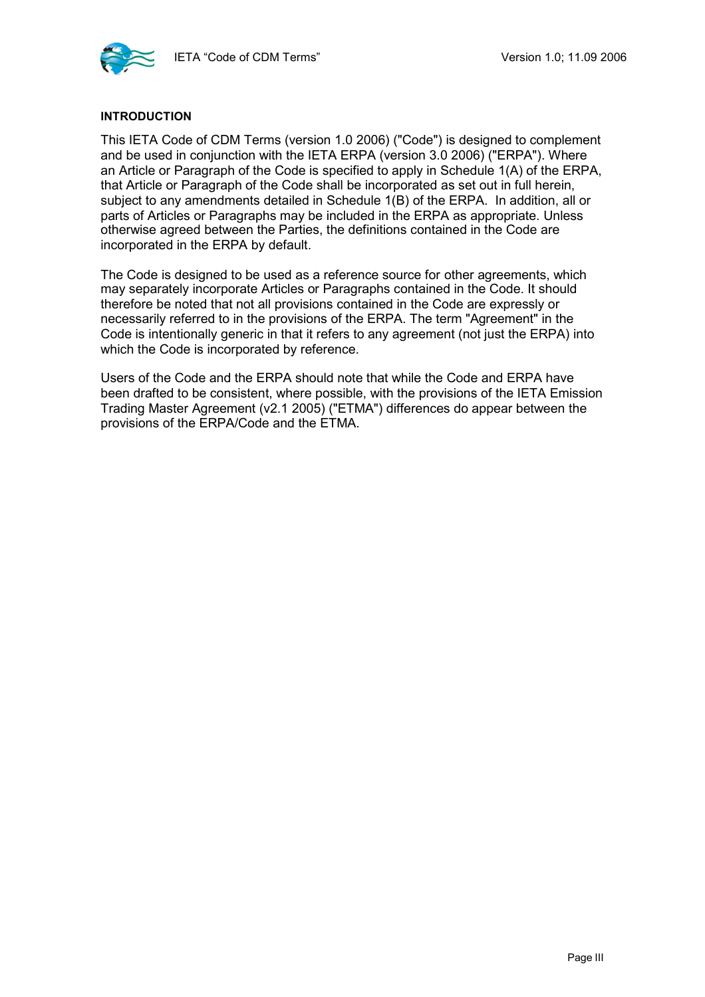

## **INTRODUCTION**

This IETA Code of CDM Terms (version 1.0 2006) ("Code") is designed to complement and be used in conjunction with the IETA ERPA (version 3.0 2006) ("ERPA"). Where an Article or Paragraph of the Code is specified to apply in Schedule 1(A) of the ERPA, that Article or Paragraph of the Code shall be incorporated as set out in full herein, subject to any amendments detailed in Schedule 1(B) of the ERPA. In addition, all or parts of Articles or Paragraphs may be included in the ERPA as appropriate. Unless otherwise agreed between the Parties, the definitions contained in the Code are incorporated in the ERPA by default.

The Code is designed to be used as a reference source for other agreements, which may separately incorporate Articles or Paragraphs contained in the Code. It should therefore be noted that not all provisions contained in the Code are expressly or necessarily referred to in the provisions of the ERPA. The term "Agreement" in the Code is intentionally generic in that it refers to any agreement (not just the ERPA) into which the Code is incorporated by reference.

Users of the Code and the ERPA should note that while the Code and ERPA have been drafted to be consistent, where possible, with the provisions of the IETA Emission Trading Master Agreement (v2.1 2005) ("ETMA") differences do appear between the provisions of the ERPA/Code and the ETMA.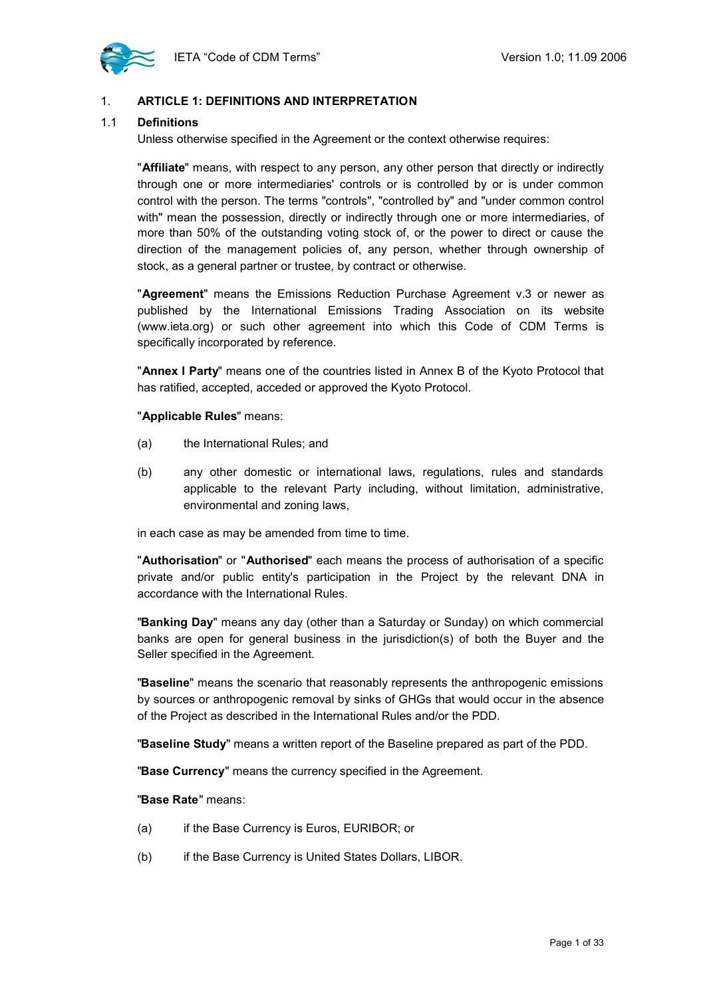

## 1. **ARTICLE 1: DEFINITIONS AND INTERPRETATION**

#### 1.1 **Definitions**

Unless otherwise specified in the Agreement or the context otherwise requires:

"**Affiliate**" means, with respect to any person, any other person that directly or indirectly through one or more intermediaries' controls or is controlled by or is under common control with the person. The terms "controls", "controlled by" and "under common control with" mean the possession, directly or indirectly through one or more intermediaries, of more than 50% of the outstanding voting stock of, or the power to direct or cause the direction of the management policies of, any person, whether through ownership of stock, as a general partner or trustee, by contract or otherwise.

"**Agreement**" means the Emissions Reduction Purchase Agreement v.3 or newer as published by the International Emissions Trading Association on its website (www.ieta.org) or such other agreement into which this Code of CDM Terms is specifically incorporated by reference.

"**Annex I Party**" means one of the countries listed in Annex B of the Kyoto Protocol that has ratified, accepted, acceded or approved the Kyoto Protocol.

#### "**Applicable Rules**" means:

- (a) the International Rules; and
- (b) any other domestic or international laws, regulations, rules and standards applicable to the relevant Party including, without limitation, administrative, environmental and zoning laws,

in each case as may be amended from time to time.

"**Authorisation**" or "**Authorised**" each means the process of authorisation of a specific private and/or public entity's participation in the Project by the relevant DNA in accordance with the International Rules.

"**Banking Day**" means any day (other than a Saturday or Sunday) on which commercial banks are open for general business in the jurisdiction(s) of both the Buyer and the Seller specified in the Agreement.

"**Baseline**" means the scenario that reasonably represents the anthropogenic emissions by sources or anthropogenic removal by sinks of GHGs that would occur in the absence of the Project as described in the International Rules and/or the PDD.

"**Baseline Study**" means a written report of the Baseline prepared as part of the PDD.

"**Base Currency**" means the currency specified in the Agreement.

#### "**Base Rate**" means:

- (a) if the Base Currency is Euros, EURIBOR; or
- (b) if the Base Currency is United States Dollars, LIBOR.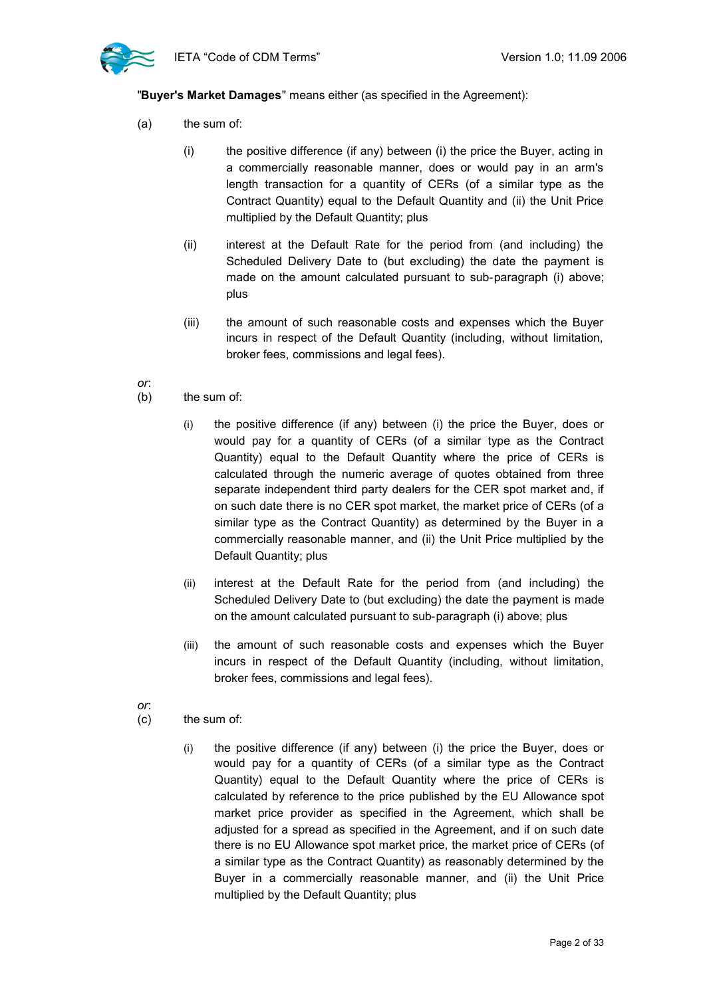

"**Buyer's Market Damages**" means either (as specified in the Agreement):

- (a) the sum of:
	- $(i)$  the positive difference (if any) between (i) the price the Buyer, acting in a commercially reasonable manner, does or would pay in an arm's length transaction for a quantity of CERs (of a similar type as the Contract Quantity) equal to the Default Quantity and (ii) the Unit Price multiplied by the Default Quantity; plus
	- (ii) interest at the Default Rate for the period from (and including) the Scheduled Delivery Date to (but excluding) the date the payment is made on the amount calculated pursuant to sub-paragraph (i) above; plus
	- (iii) the amount of such reasonable costs and expenses which the Buyer incurs in respect of the Default Quantity (including, without limitation, broker fees, commissions and legal fees).
- *or*:

## (b) the sum of:

- (i) the positive difference (if any) between (i) the price the Buyer, does or would pay for a quantity of CERs (of a similar type as the Contract Quantity) equal to the Default Quantity where the price of CERs is calculated through the numeric average of quotes obtained from three separate independent third party dealers for the CER spot market and, if on such date there is no CER spot market, the market price of CERs (of a similar type as the Contract Quantity) as determined by the Buyer in a commercially reasonable manner, and (ii) the Unit Price multiplied by the Default Quantity; plus
- (ii) interest at the Default Rate for the period from (and including) the Scheduled Delivery Date to (but excluding) the date the payment is made on the amount calculated pursuant to sub-paragraph (i) above; plus
- (iii) the amount of such reasonable costs and expenses which the Buyer incurs in respect of the Default Quantity (including, without limitation, broker fees, commissions and legal fees).
- *or*:
- (c) the sum of:
	- (i) the positive difference (if any) between (i) the price the Buyer, does or would pay for a quantity of CERs (of a similar type as the Contract Quantity) equal to the Default Quantity where the price of CERs is calculated by reference to the price published by the EU Allowance spot market price provider as specified in the Agreement, which shall be adjusted for a spread as specified in the Agreement, and if on such date there is no EU Allowance spot market price, the market price of CERs (of a similar type as the Contract Quantity) as reasonably determined by the Buyer in a commercially reasonable manner, and (ii) the Unit Price multiplied by the Default Quantity; plus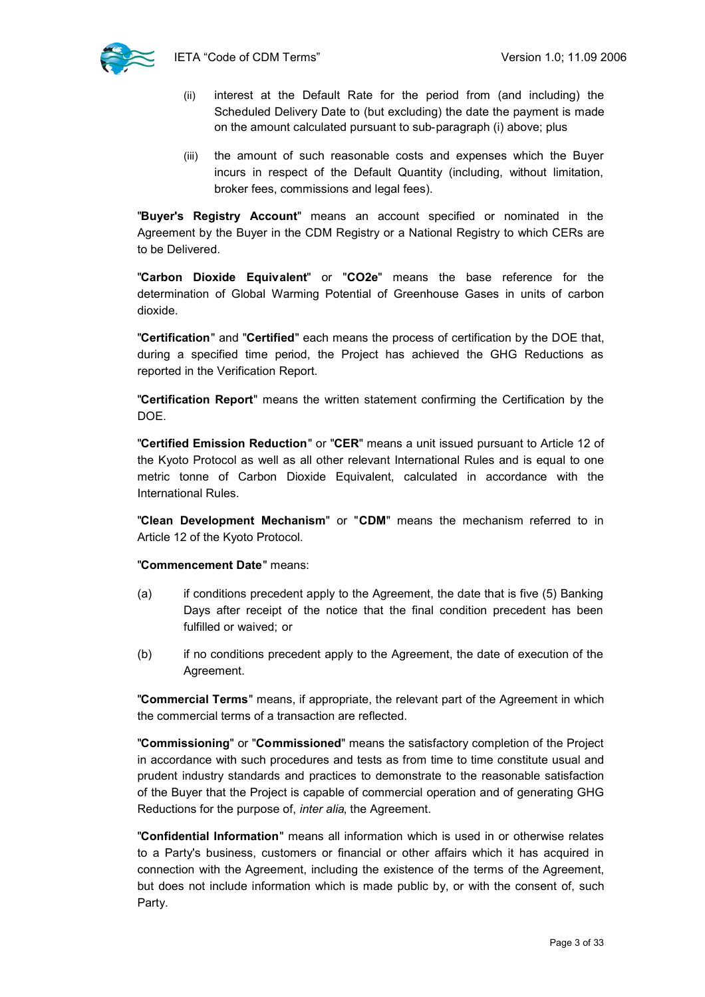

- (ii) interest at the Default Rate for the period from (and including) the Scheduled Delivery Date to (but excluding) the date the payment is made on the amount calculated pursuant to sub-paragraph (i) above; plus
- (iii) the amount of such reasonable costs and expenses which the Buyer incurs in respect of the Default Quantity (including, without limitation, broker fees, commissions and legal fees).

"**Buyer's Registry Account**" means an account specified or nominated in the Agreement by the Buyer in the CDM Registry or a National Registry to which CERs are to be Delivered.

"**Carbon Dioxide Equivalent**" or "**CO2e**" means the base reference for the determination of Global Warming Potential of Greenhouse Gases in units of carbon dioxide.

"**Certification**" and "**Certified**" each means the process of certification by the DOE that, during a specified time period, the Project has achieved the GHG Reductions as reported in the Verification Report.

"**Certification Report**" means the written statement confirming the Certification by the DOE.

"**Certified Emission Reduction**" or "**CER**" means a unit issued pursuant to Article 12 of the Kyoto Protocol as well as all other relevant International Rules and is equal to one metric tonne of Carbon Dioxide Equivalent, calculated in accordance with the International Rules.

"**Clean Development Mechanism**" or "**CDM**" means the mechanism referred to in Article 12 of the Kyoto Protocol.

#### "**Commencement Date**" means:

- (a) if conditions precedent apply to the Agreement, the date that is five (5) Banking Days after receipt of the notice that the final condition precedent has been fulfilled or waived; or
- (b) if no conditions precedent apply to the Agreement, the date of execution of the Agreement.

"**Commercial Terms**" means, if appropriate, the relevant part of the Agreement in which the commercial terms of a transaction are reflected.

"**Commissioning**" or "**Commissioned**" means the satisfactory completion of the Project in accordance with such procedures and tests as from time to time constitute usual and prudent industry standards and practices to demonstrate to the reasonable satisfaction of the Buyer that the Project is capable of commercial operation and of generating GHG Reductions for the purpose of, *inter alia*, the Agreement.

"**Confidential Information**" means all information which is used in or otherwise relates to a Party's business, customers or financial or other affairs which it has acquired in connection with the Agreement, including the existence of the terms of the Agreement, but does not include information which is made public by, or with the consent of, such Party.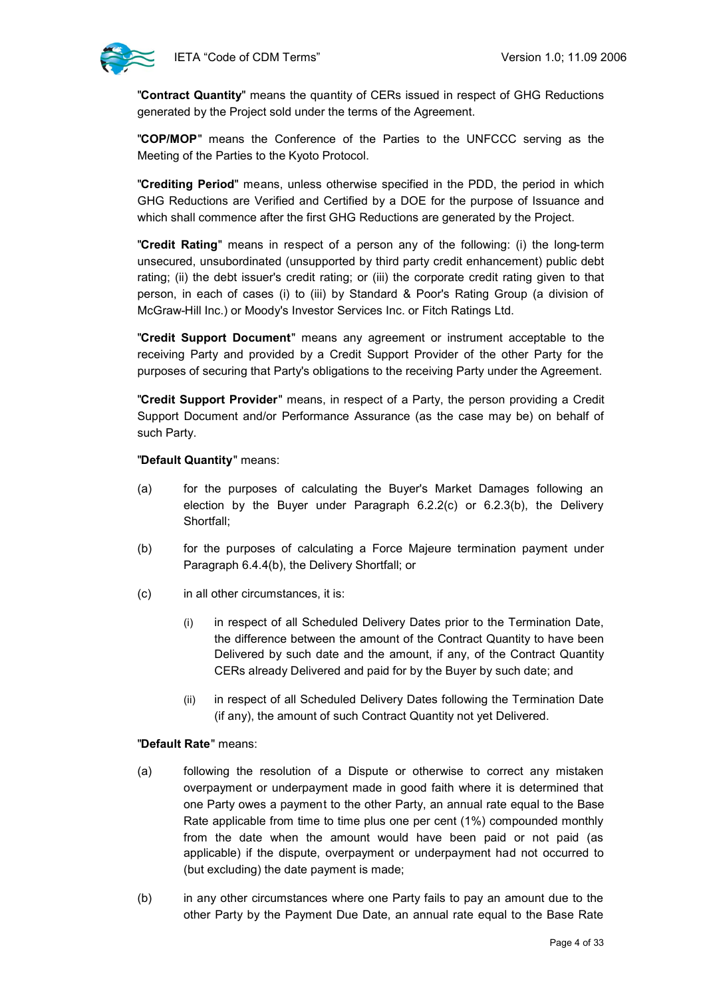

"**Contract Quantity**" means the quantity of CERs issued in respect of GHG Reductions generated by the Project sold under the terms of the Agreement.

"**COP/MOP**" means the Conference of the Parties to the UNFCCC serving as the Meeting of the Parties to the Kyoto Protocol.

"**Crediting Period**" means, unless otherwise specified in the PDD, the period in which GHG Reductions are Verified and Certified by a DOE for the purpose of Issuance and which shall commence after the first GHG Reductions are generated by the Project.

"**Credit Rating**" means in respect of a person any of the following: (i) the long-term unsecured, unsubordinated (unsupported by third party credit enhancement) public debt rating; (ii) the debt issuer's credit rating; or (iii) the corporate credit rating given to that person, in each of cases (i) to (iii) by Standard & Poor's Rating Group (a division of McGraw-Hill Inc.) or Moody's Investor Services Inc. or Fitch Ratings Ltd.

"**Credit Support Document**" means any agreement or instrument acceptable to the receiving Party and provided by a Credit Support Provider of the other Party for the purposes of securing that Party's obligations to the receiving Party under the Agreement.

"**Credit Support Provider**" means, in respect of a Party, the person providing a Credit Support Document and/or Performance Assurance (as the case may be) on behalf of such Party.

#### "**Default Quantity**" means:

- (a) for the purposes of calculating the Buyer's Market Damages following an election by the Buyer under Paragraph 6.2.2(c) or 6.2.3(b), the Delivery Shortfall;
- (b) for the purposes of calculating a Force Majeure termination payment under Paragraph 6.4.4(b), the Delivery Shortfall; or
- (c) in all other circumstances, it is:
	- (i) in respect of all Scheduled Delivery Dates prior to the Termination Date, the difference between the amount of the Contract Quantity to have been Delivered by such date and the amount, if any, of the Contract Quantity CERs already Delivered and paid for by the Buyer by such date; and
	- (ii) in respect of all Scheduled Delivery Dates following the Termination Date (if any), the amount of such Contract Quantity not yet Delivered.

## "**Default Rate**" means:

- (a) following the resolution of a Dispute or otherwise to correct any mistaken overpayment or underpayment made in good faith where it is determined that one Party owes a payment to the other Party, an annual rate equal to the Base Rate applicable from time to time plus one per cent (1%) compounded monthly from the date when the amount would have been paid or not paid (as applicable) if the dispute, overpayment or underpayment had not occurred to (but excluding) the date payment is made;
- (b) in any other circumstances where one Party fails to pay an amount due to the other Party by the Payment Due Date, an annual rate equal to the Base Rate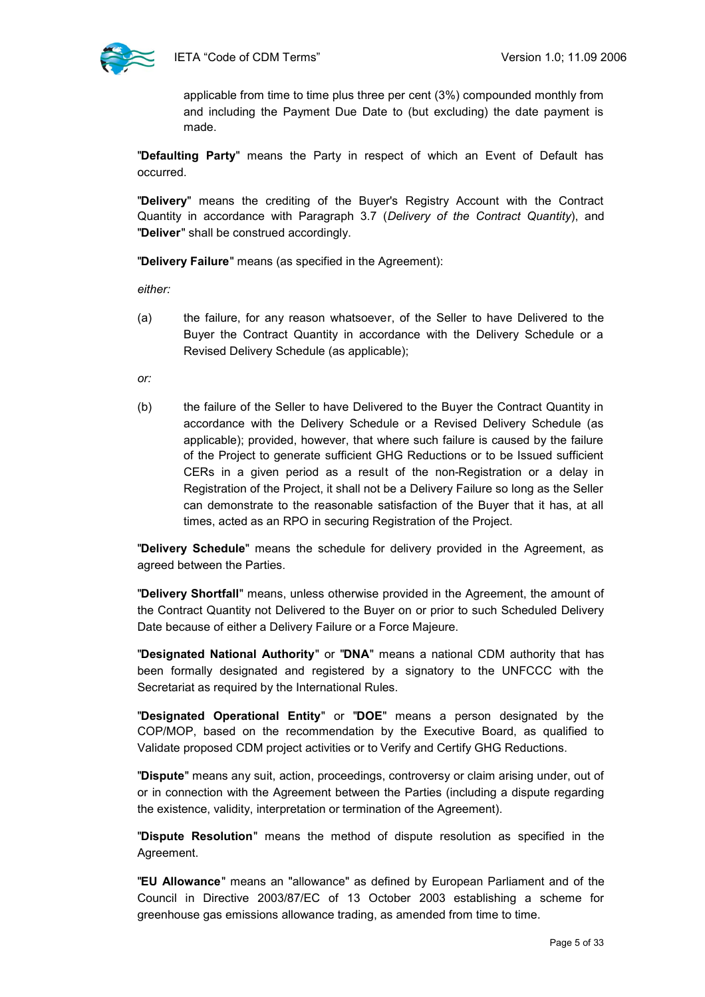

applicable from time to time plus three per cent (3%) compounded monthly from and including the Payment Due Date to (but excluding) the date payment is made.

"**Defaulting Party**" means the Party in respect of which an Event of Default has occurred.

"**Delivery**" means the crediting of the Buyer's Registry Account with the Contract Quantity in accordance with Paragraph 3.7 (*Delivery of the Contract Quantity*), and "**Deliver**" shall be construed accordingly.

"**Delivery Failure**" means (as specified in the Agreement):

*either:*

(a) the failure, for any reason whatsoever, of the Seller to have Delivered to the Buyer the Contract Quantity in accordance with the Delivery Schedule or a Revised Delivery Schedule (as applicable);

*or:*

(b) the failure of the Seller to have Delivered to the Buyer the Contract Quantity in accordance with the Delivery Schedule or a Revised Delivery Schedule (as applicable); provided, however, that where such failure is caused by the failure of the Project to generate sufficient GHG Reductions or to be Issued sufficient CERs in a given period as a result of the non-Registration or a delay in Registration of the Project, it shall not be a Delivery Failure so long as the Seller can demonstrate to the reasonable satisfaction of the Buyer that it has, at all times, acted as an RPO in securing Registration of the Project.

"**Delivery Schedule**" means the schedule for delivery provided in the Agreement, as agreed between the Parties.

"**Delivery Shortfall**" means, unless otherwise provided in the Agreement, the amount of the Contract Quantity not Delivered to the Buyer on or prior to such Scheduled Delivery Date because of either a Delivery Failure or a Force Majeure.

"**Designated National Authority**" or "**DNA**" means a national CDM authority that has been formally designated and registered by a signatory to the UNFCCC with the Secretariat as required by the International Rules.

"**Designated Operational Entity**" or "**DOE**" means a person designated by the COP/MOP, based on the recommendation by the Executive Board, as qualified to Validate proposed CDM project activities or to Verify and Certify GHG Reductions.

"**Dispute**" means any suit, action, proceedings, controversy or claim arising under, out of or in connection with the Agreement between the Parties (including a dispute regarding the existence, validity, interpretation or termination of the Agreement).

"**Dispute Resolution**" means the method of dispute resolution as specified in the Agreement.

"**EU Allowance**" means an "allowance" as defined by European Parliament and of the Council in Directive 2003/87/EC of 13 October 2003 establishing a scheme for greenhouse gas emissions allowance trading, as amended from time to time.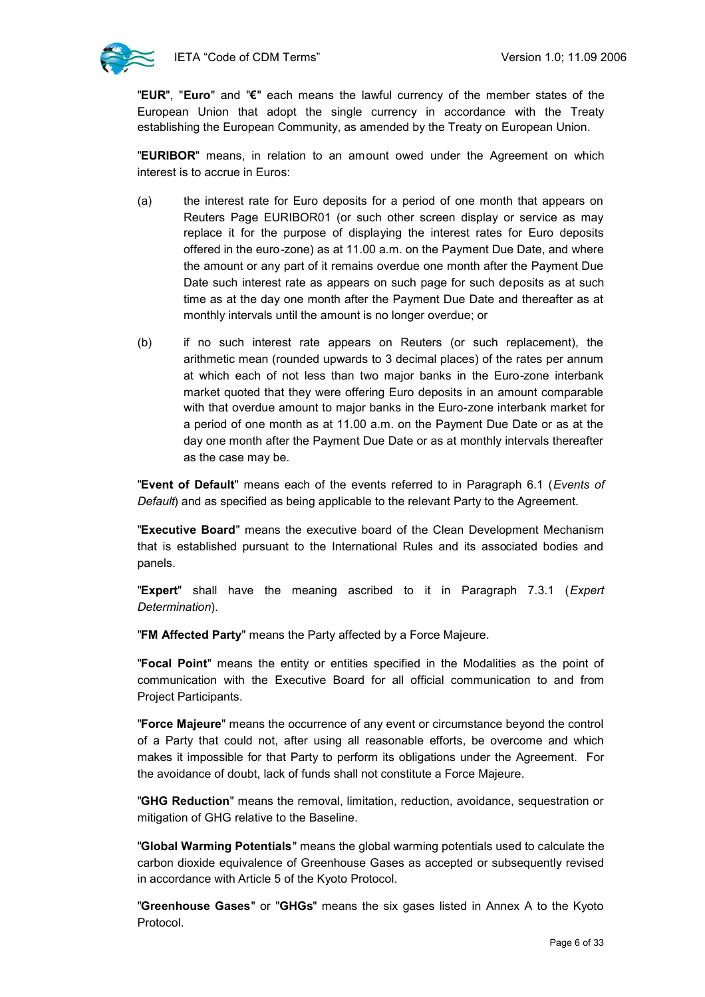

"**EUR**", "**Euro**" and "**€**" each means the lawful currency of the member states of the European Union that adopt the single currency in accordance with the Treaty establishing the European Community, as amended by the Treaty on European Union.

"**EURIBOR**" means, in relation to an amount owed under the Agreement on which interest is to accrue in Euros:

- (a) the interest rate for Euro deposits for a period of one month that appears on Reuters Page EURIBOR01 (or such other screen display or service as may replace it for the purpose of displaying the interest rates for Euro deposits offered in the euro-zone) as at 11.00 a.m. on the Payment Due Date, and where the amount or any part of it remains overdue one month after the Payment Due Date such interest rate as appears on such page for such deposits as at such time as at the day one month after the Payment Due Date and thereafter as at monthly intervals until the amount is no longer overdue; or
- (b) if no such interest rate appears on Reuters (or such replacement), the arithmetic mean (rounded upwards to 3 decimal places) of the rates per annum at which each of not less than two major banks in the Euro-zone interbank market quoted that they were offering Euro deposits in an amount comparable with that overdue amount to major banks in the Euro-zone interbank market for a period of one month as at 11.00 a.m. on the Payment Due Date or as at the day one month after the Payment Due Date or as at monthly intervals thereafter as the case may be.

"**Event of Default**" means each of the events referred to in Paragraph 6.1 (*Events of Default*) and as specified as being applicable to the relevant Party to the Agreement.

"**Executive Board**" means the executive board of the Clean Development Mechanism that is established pursuant to the International Rules and its associated bodies and panels.

"**Expert**" shall have the meaning ascribed to it in Paragraph 7.3.1 (*Expert Determination*).

"**FM Affected Party**" means the Party affected by a Force Majeure.

"**Focal Point**" means the entity or entities specified in the Modalities as the point of communication with the Executive Board for all official communication to and from Project Participants.

"**Force Majeure**" means the occurrence of any event or circumstance beyond the control of a Party that could not, after using all reasonable efforts, be overcome and which makes it impossible for that Party to perform its obligations under the Agreement. For the avoidance of doubt, lack of funds shall not constitute a Force Majeure.

"**GHG Reduction**" means the removal, limitation, reduction, avoidance, sequestration or mitigation of GHG relative to the Baseline.

"**Global Warming Potentials**" means the global warming potentials used to calculate the carbon dioxide equivalence of Greenhouse Gases as accepted or subsequently revised in accordance with Article 5 of the Kyoto Protocol.

"**Greenhouse Gases**" or "**GHGs**" means the six gases listed in Annex A to the Kyoto Protocol.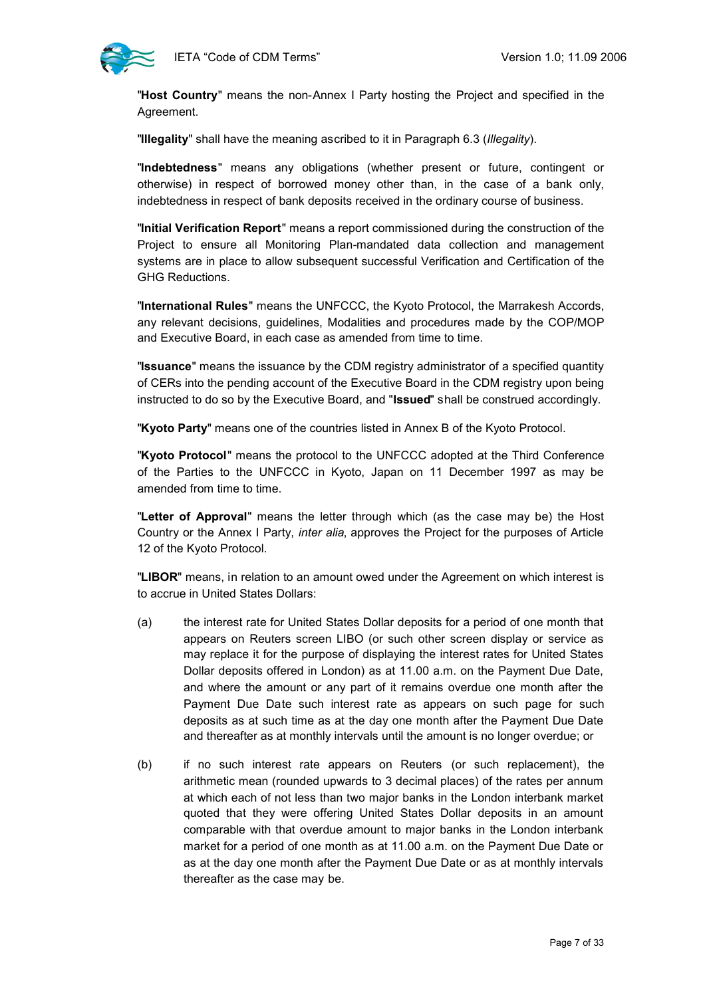

"**Host Country**" means the non-Annex I Party hosting the Project and specified in the Agreement.

"**Illegality**" shall have the meaning ascribed to it in Paragraph 6.3 (*Illegality*).

"**Indebtedness**" means any obligations (whether present or future, contingent or otherwise) in respect of borrowed money other than, in the case of a bank only, indebtedness in respect of bank deposits received in the ordinary course of business.

"**Initial Verification Report**" means a report commissioned during the construction of the Project to ensure all Monitoring Plan-mandated data collection and management systems are in place to allow subsequent successful Verification and Certification of the GHG Reductions.

"**International Rules**" means the UNFCCC, the Kyoto Protocol, the Marrakesh Accords, any relevant decisions, guidelines, Modalities and procedures made by the COP/MOP and Executive Board, in each case as amended from time to time.

"**Issuance**" means the issuance by the CDM registry administrator of a specified quantity of CERs into the pending account of the Executive Board in the CDM registry upon being instructed to do so by the Executive Board, and "**Issued**" shall be construed accordingly.

"**Kyoto Party**" means one of the countries listed in Annex B of the Kyoto Protocol.

"**Kyoto Protocol**" means the protocol to the UNFCCC adopted at the Third Conference of the Parties to the UNFCCC in Kyoto, Japan on 11 December 1997 as may be amended from time to time.

"**Letter of Approval**" means the letter through which (as the case may be) the Host Country or the Annex I Party, *inter alia*, approves the Project for the purposes of Article 12 of the Kyoto Protocol.

"**LIBOR**" means, in relation to an amount owed under the Agreement on which interest is to accrue in United States Dollars:

- (a) the interest rate for United States Dollar deposits for a period of one month that appears on Reuters screen LIBO (or such other screen display or service as may replace it for the purpose of displaying the interest rates for United States Dollar deposits offered in London) as at 11.00 a.m. on the Payment Due Date, and where the amount or any part of it remains overdue one month after the Payment Due Date such interest rate as appears on such page for such deposits as at such time as at the day one month after the Payment Due Date and thereafter as at monthly intervals until the amount is no longer overdue; or
- (b) if no such interest rate appears on Reuters (or such replacement), the arithmetic mean (rounded upwards to 3 decimal places) of the rates per annum at which each of not less than two major banks in the London interbank market quoted that they were offering United States Dollar deposits in an amount comparable with that overdue amount to major banks in the London interbank market for a period of one month as at 11.00 a.m. on the Payment Due Date or as at the day one month after the Payment Due Date or as at monthly intervals thereafter as the case may be.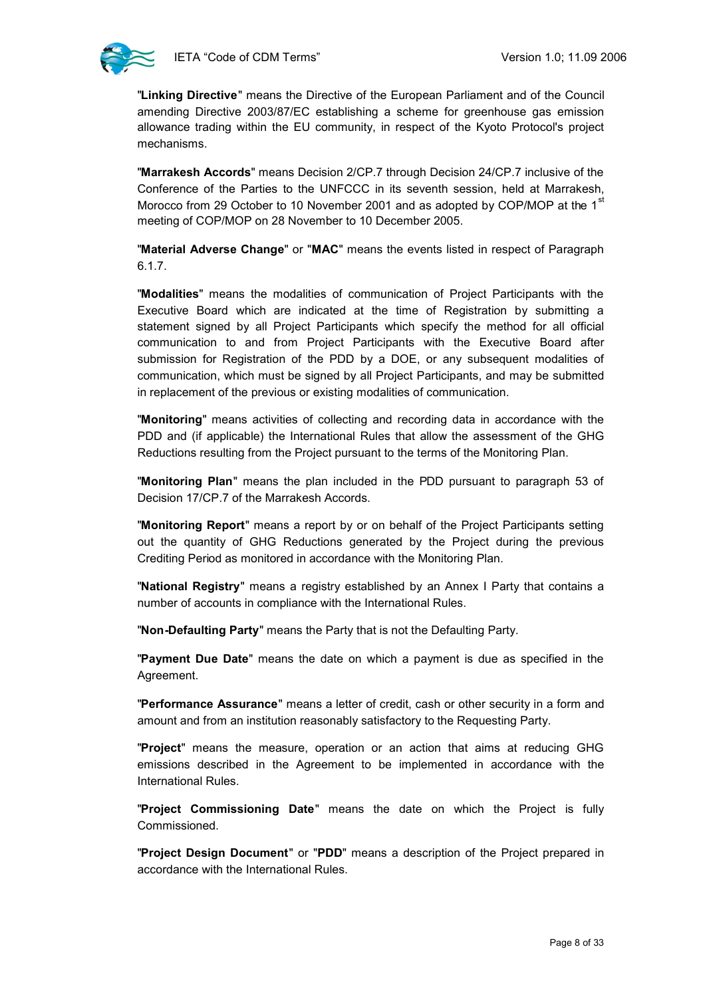

"**Linking Directive**" means the Directive of the European Parliament and of the Council amending Directive 2003/87/EC establishing a scheme for greenhouse gas emission allowance trading within the EU community, in respect of the Kyoto Protocol's project mechanisms.

"**Marrakesh Accords**" means Decision 2/CP.7 through Decision 24/CP.7 inclusive of the Conference of the Parties to the UNFCCC in its seventh session, held at Marrakesh, Morocco from 29 October to 10 November 2001 and as adopted by COP/MOP at the 1<sup>st</sup> meeting of COP/MOP on 28 November to 10 December 2005.

"**Material Adverse Change**" or "**MAC**" means the events listed in respect of Paragraph 6.1.7.

"**Modalities**" means the modalities of communication of Project Participants with the Executive Board which are indicated at the time of Registration by submitting a statement signed by all Project Participants which specify the method for all official communication to and from Project Participants with the Executive Board after submission for Registration of the PDD by a DOE, or any subsequent modalities of communication, which must be signed by all Project Participants, and may be submitted in replacement of the previous or existing modalities of communication.

"**Monitoring**" means activities of collecting and recording data in accordance with the PDD and (if applicable) the International Rules that allow the assessment of the GHG Reductions resulting from the Project pursuant to the terms of the Monitoring Plan.

"**Monitoring Plan**" means the plan included in the PDD pursuant to paragraph 53 of Decision 17/CP.7 of the Marrakesh Accords.

"**Monitoring Report**" means a report by or on behalf of the Project Participants setting out the quantity of GHG Reductions generated by the Project during the previous Crediting Period as monitored in accordance with the Monitoring Plan.

"**National Registry**" means a registry established by an Annex I Party that contains a number of accounts in compliance with the International Rules.

"**Non-Defaulting Party**" means the Party that is not the Defaulting Party.

"**Payment Due Date**" means the date on which a payment is due as specified in the Agreement.

"**Performance Assurance**" means a letter of credit, cash or other security in a form and amount and from an institution reasonably satisfactory to the Requesting Party.

"**Project**" means the measure, operation or an action that aims at reducing GHG emissions described in the Agreement to be implemented in accordance with the International Rules.

"**Project Commissioning Date**" means the date on which the Project is fully Commissioned.

"**Project Design Document**" or "**PDD**" means a description of the Project prepared in accordance with the International Rules.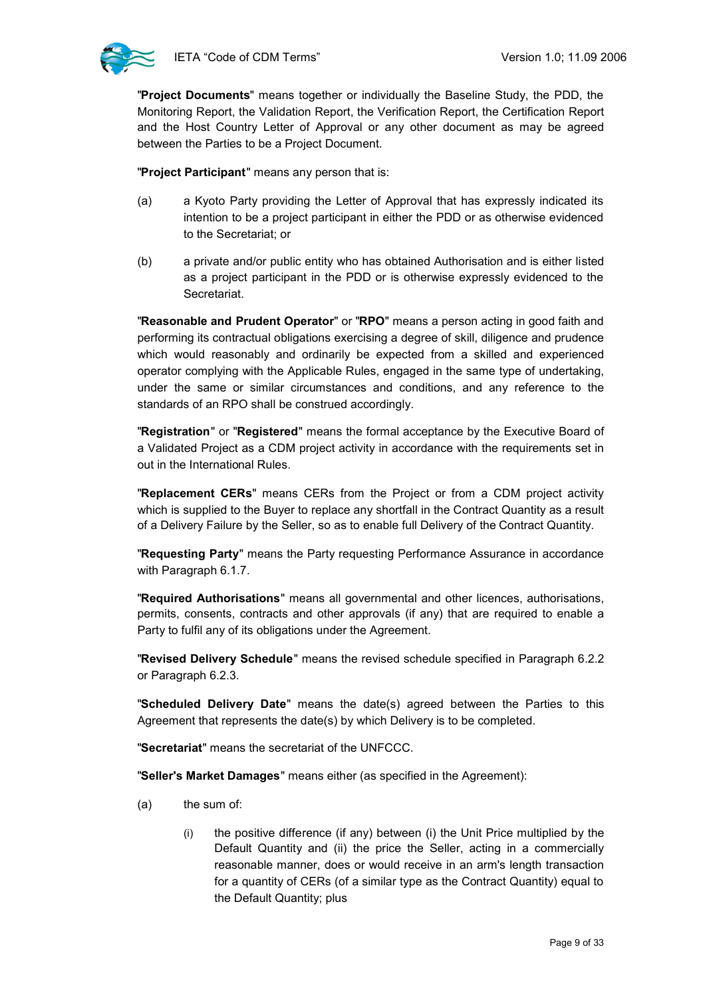

"**Project Documents**" means together or individually the Baseline Study, the PDD, the Monitoring Report, the Validation Report, the Verification Report, the Certification Report and the Host Country Letter of Approval or any other document as may be agreed between the Parties to be a Project Document.

"**Project Participant**" means any person that is:

- (a) a Kyoto Party providing the Letter of Approval that has expressly indicated its intention to be a project participant in either the PDD or as otherwise evidenced to the Secretariat; or
- (b) a private and/or public entity who has obtained Authorisation and is either listed as a project participant in the PDD or is otherwise expressly evidenced to the Secretariat.

"**Reasonable and Prudent Operator**" or "**RPO**" means a person acting in good faith and performing its contractual obligations exercising a degree of skill, diligence and prudence which would reasonably and ordinarily be expected from a skilled and experienced operator complying with the Applicable Rules, engaged in the same type of undertaking, under the same or similar circumstances and conditions, and any reference to the standards of an RPO shall be construed accordingly.

"**Registration**" or "**Registered**" means the formal acceptance by the Executive Board of a Validated Project as a CDM project activity in accordance with the requirements set in out in the International Rules.

"**Replacement CERs**" means CERs from the Project or from a CDM project activity which is supplied to the Buyer to replace any shortfall in the Contract Quantity as a result of a Delivery Failure by the Seller, so as to enable full Delivery of the Contract Quantity.

"**Requesting Party**" means the Party requesting Performance Assurance in accordance with Paragraph 6.1.7.

"**Required Authorisations**" means all governmental and other licences, authorisations, permits, consents, contracts and other approvals (if any) that are required to enable a Party to fulfil any of its obligations under the Agreement.

"**Revised Delivery Schedule**" means the revised schedule specified in Paragraph 6.2.2 or Paragraph 6.2.3.

"**Scheduled Delivery Date**" means the date(s) agreed between the Parties to this Agreement that represents the date(s) by which Delivery is to be completed.

"**Secretariat**" means the secretariat of the UNFCCC.

"**Seller's Market Damages**" means either (as specified in the Agreement):

- (a) the sum of:
	- (i) the positive difference (if any) between (i) the Unit Price multiplied by the Default Quantity and (ii) the price the Seller, acting in a commercially reasonable manner, does or would receive in an arm's length transaction for a quantity of CERs (of a similar type as the Contract Quantity) equal to the Default Quantity; plus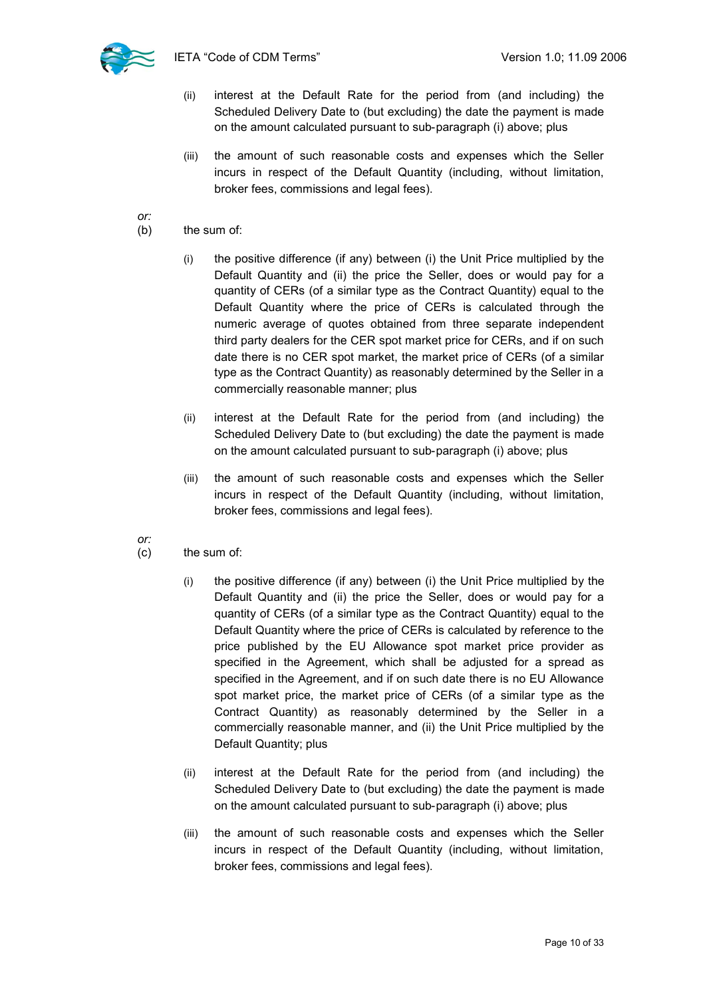

- (ii) interest at the Default Rate for the period from (and including) the Scheduled Delivery Date to (but excluding) the date the payment is made on the amount calculated pursuant to sub-paragraph (i) above; plus
- (iii) the amount of such reasonable costs and expenses which the Seller incurs in respect of the Default Quantity (including, without limitation, broker fees, commissions and legal fees).
- *or:*
- (b) the sum of:
	- (i) the positive difference (if any) between (i) the Unit Price multiplied by the Default Quantity and (ii) the price the Seller, does or would pay for a quantity of CERs (of a similar type as the Contract Quantity) equal to the Default Quantity where the price of CERs is calculated through the numeric average of quotes obtained from three separate independent third party dealers for the CER spot market price for CERs, and if on such date there is no CER spot market, the market price of CERs (of a similar type as the Contract Quantity) as reasonably determined by the Seller in a commercially reasonable manner; plus
	- (ii) interest at the Default Rate for the period from (and including) the Scheduled Delivery Date to (but excluding) the date the payment is made on the amount calculated pursuant to sub-paragraph (i) above; plus
	- (iii) the amount of such reasonable costs and expenses which the Seller incurs in respect of the Default Quantity (including, without limitation, broker fees, commissions and legal fees).
- *or:*
- (c) the sum of:
	- (i) the positive difference (if any) between (i) the Unit Price multiplied by the Default Quantity and (ii) the price the Seller, does or would pay for a quantity of CERs (of a similar type as the Contract Quantity) equal to the Default Quantity where the price of CERs is calculated by reference to the price published by the EU Allowance spot market price provider as specified in the Agreement, which shall be adjusted for a spread as specified in the Agreement, and if on such date there is no EU Allowance spot market price, the market price of CERs (of a similar type as the Contract Quantity) as reasonably determined by the Seller in a commercially reasonable manner, and (ii) the Unit Price multiplied by the Default Quantity; plus
	- (ii) interest at the Default Rate for the period from (and including) the Scheduled Delivery Date to (but excluding) the date the payment is made on the amount calculated pursuant to sub-paragraph (i) above; plus
	- (iii) the amount of such reasonable costs and expenses which the Seller incurs in respect of the Default Quantity (including, without limitation, broker fees, commissions and legal fees).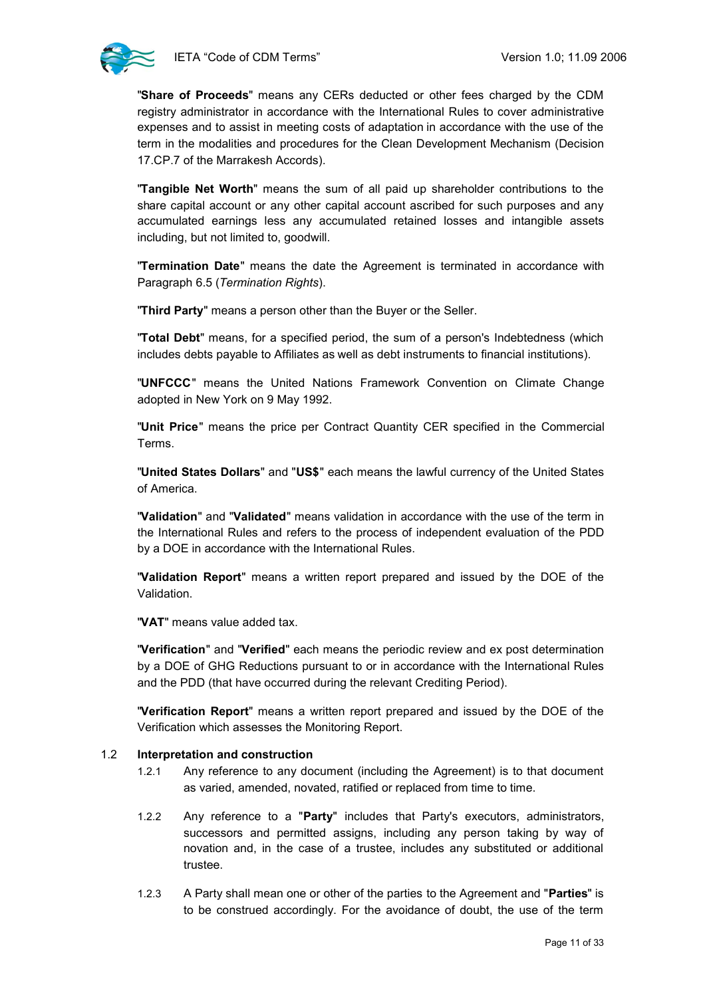

"**Share of Proceeds**" means any CERs deducted or other fees charged by the CDM registry administrator in accordance with the International Rules to cover administrative expenses and to assist in meeting costs of adaptation in accordance with the use of the term in the modalities and procedures for the Clean Development Mechanism (Decision 17.CP.7 of the Marrakesh Accords).

"**Tangible Net Worth**" means the sum of all paid up shareholder contributions to the share capital account or any other capital account ascribed for such purposes and any accumulated earnings less any accumulated retained losses and intangible assets including, but not limited to, goodwill.

"**Termination Date**" means the date the Agreement is terminated in accordance with Paragraph 6.5 (*Termination Rights*).

"**Third Party**" means a person other than the Buyer or the Seller.

"**Total Debt**" means, for a specified period, the sum of a person's Indebtedness (which includes debts payable to Affiliates as well as debt instruments to financial institutions).

"**UNFCCC**" means the United Nations Framework Convention on Climate Change adopted in New York on 9 May 1992.

"**Unit Price**" means the price per Contract Quantity CER specified in the Commercial Terms.

"**United States Dollars**" and "**US\$**" each means the lawful currency of the United States of America.

"**Validation**" and "**Validated**" means validation in accordance with the use of the term in the International Rules and refers to the process of independent evaluation of the PDD by a DOE in accordance with the International Rules.

"**Validation Report**" means a written report prepared and issued by the DOE of the Validation.

"**VAT**" means value added tax.

"**Verification**" and "**Verified**" each means the periodic review and ex post determination by a DOE of GHG Reductions pursuant to or in accordance with the International Rules and the PDD (that have occurred during the relevant Crediting Period).

"**Verification Report**" means a written report prepared and issued by the DOE of the Verification which assesses the Monitoring Report.

## 1.2 **Interpretation and construction**

- 1.2.1 Any reference to any document (including the Agreement) is to that document as varied, amended, novated, ratified or replaced from time to time.
- 1.2.2 Any reference to a "**Party**" includes that Party's executors, administrators, successors and permitted assigns, including any person taking by way of novation and, in the case of a trustee, includes any substituted or additional trustee.
- 1.2.3 A Party shall mean one or other of the parties to the Agreement and "**Parties**" is to be construed accordingly. For the avoidance of doubt, the use of the term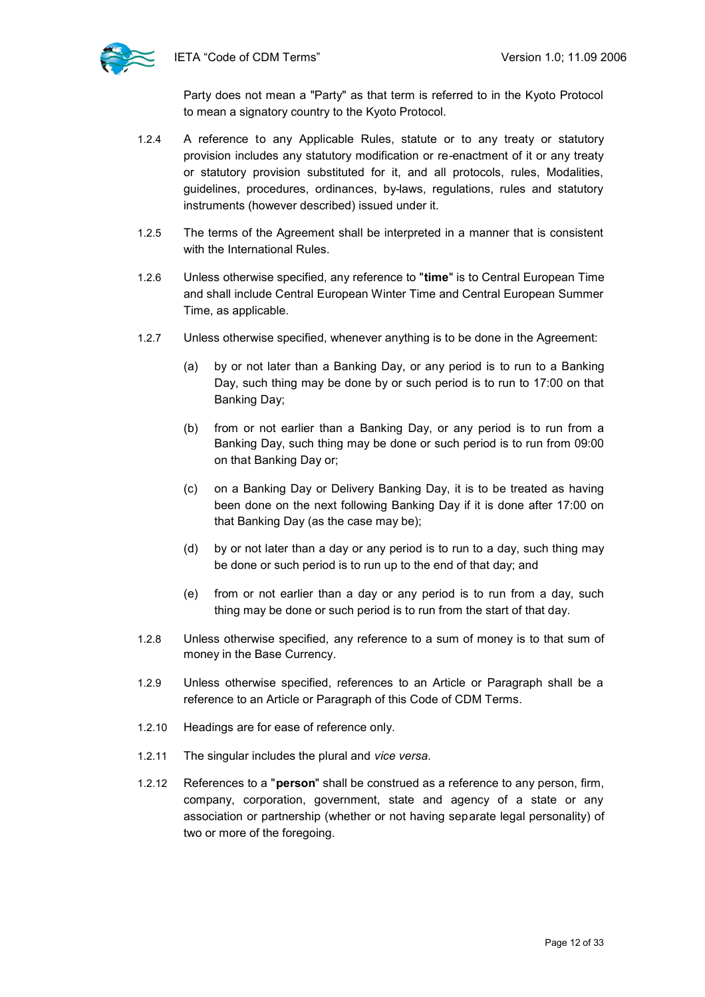

Party does not mean a "Party" as that term is referred to in the Kyoto Protocol to mean a signatory country to the Kyoto Protocol.

- 1.2.4 A reference to any Applicable Rules, statute or to any treaty or statutory provision includes any statutory modification or re-enactment of it or any treaty or statutory provision substituted for it, and all protocols, rules, Modalities, guidelines, procedures, ordinances, by-laws, regulations, rules and statutory instruments (however described) issued under it.
- 1.2.5 The terms of the Agreement shall be interpreted in a manner that is consistent with the International Rules.
- 1.2.6 Unless otherwise specified, any reference to "**time**" is to Central European Time and shall include Central European Winter Time and Central European Summer Time, as applicable.
- 1.2.7 Unless otherwise specified, whenever anything is to be done in the Agreement:
	- (a) by or not later than a Banking Day, or any period is to run to a Banking Day, such thing may be done by or such period is to run to 17:00 on that Banking Day;
	- (b) from or not earlier than a Banking Day, or any period is to run from a Banking Day, such thing may be done or such period is to run from 09:00 on that Banking Day or;
	- (c) on a Banking Day or Delivery Banking Day, it is to be treated as having been done on the next following Banking Day if it is done after 17:00 on that Banking Day (as the case may be);
	- (d) by or not later than a day or any period is to run to a day, such thing may be done or such period is to run up to the end of that day; and
	- (e) from or not earlier than a day or any period is to run from a day, such thing may be done or such period is to run from the start of that day.
- 1.2.8 Unless otherwise specified, any reference to a sum of money is to that sum of money in the Base Currency.
- 1.2.9 Unless otherwise specified, references to an Article or Paragraph shall be a reference to an Article or Paragraph of this Code of CDM Terms.
- 1.2.10 Headings are for ease of reference only.
- 1.2.11 The singular includes the plural and *vice versa*.
- 1.2.12 References to a "**person**" shall be construed as a reference to any person, firm, company, corporation, government, state and agency of a state or any association or partnership (whether or not having separate legal personality) of two or more of the foregoing.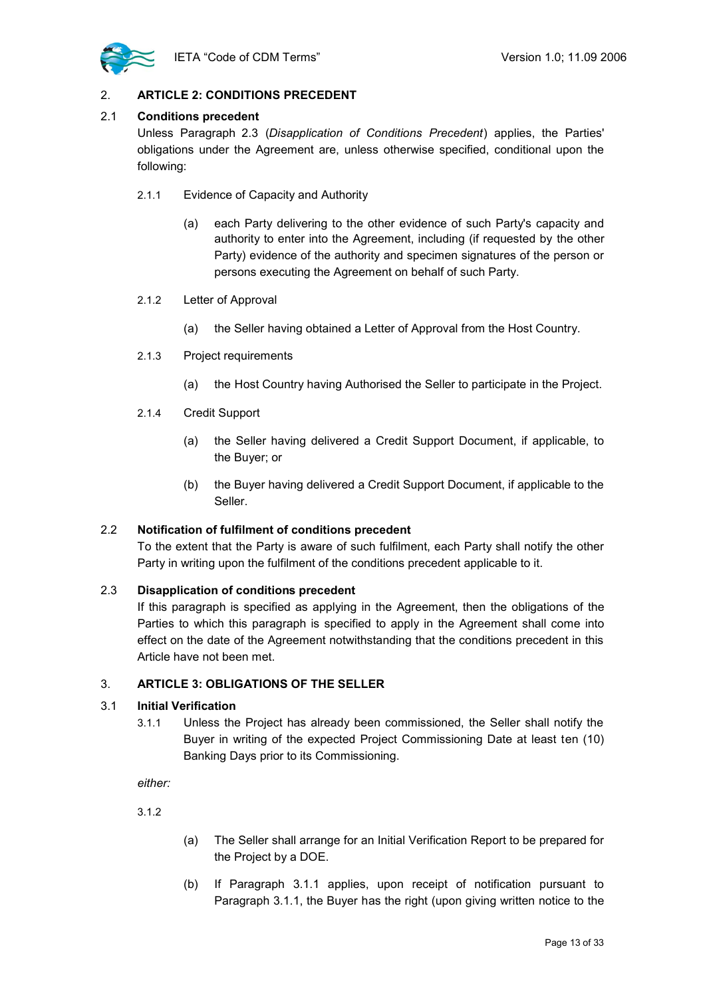

## 2. **ARTICLE 2: CONDITIONS PRECEDENT**

#### 2.1 **Conditions precedent**

Unless Paragraph 2.3 (*Disapplication of Conditions Precedent*) applies, the Parties' obligations under the Agreement are, unless otherwise specified, conditional upon the following:

- 2.1.1 Evidence of Capacity and Authority
	- (a) each Party delivering to the other evidence of such Party's capacity and authority to enter into the Agreement, including (if requested by the other Party) evidence of the authority and specimen signatures of the person or persons executing the Agreement on behalf of such Party.
- 2.1.2 Letter of Approval
	- (a) the Seller having obtained a Letter of Approval from the Host Country.
- 2.1.3 Project requirements
	- (a) the Host Country having Authorised the Seller to participate in the Project.
- 2.1.4 Credit Support
	- (a) the Seller having delivered a Credit Support Document, if applicable, to the Buyer; or
	- (b) the Buyer having delivered a Credit Support Document, if applicable to the Seller.

## 2.2 **Notification of fulfilment of conditions precedent**

To the extent that the Party is aware of such fulfilment, each Party shall notify the other Party in writing upon the fulfilment of the conditions precedent applicable to it.

## 2.3 **Disapplication of conditions precedent**

If this paragraph is specified as applying in the Agreement, then the obligations of the Parties to which this paragraph is specified to apply in the Agreement shall come into effect on the date of the Agreement notwithstanding that the conditions precedent in this Article have not been met.

## 3. **ARTICLE 3: OBLIGATIONS OF THE SELLER**

## 3.1 **Initial Verification**

3.1.1 Unless the Project has already been commissioned, the Seller shall notify the Buyer in writing of the expected Project Commissioning Date at least ten (10) Banking Days prior to its Commissioning.

*either:*

3.1.2

- (a) The Seller shall arrange for an Initial Verification Report to be prepared for the Project by a DOE.
- (b) If Paragraph 3.1.1 applies, upon receipt of notification pursuant to Paragraph 3.1.1, the Buyer has the right (upon giving written notice to the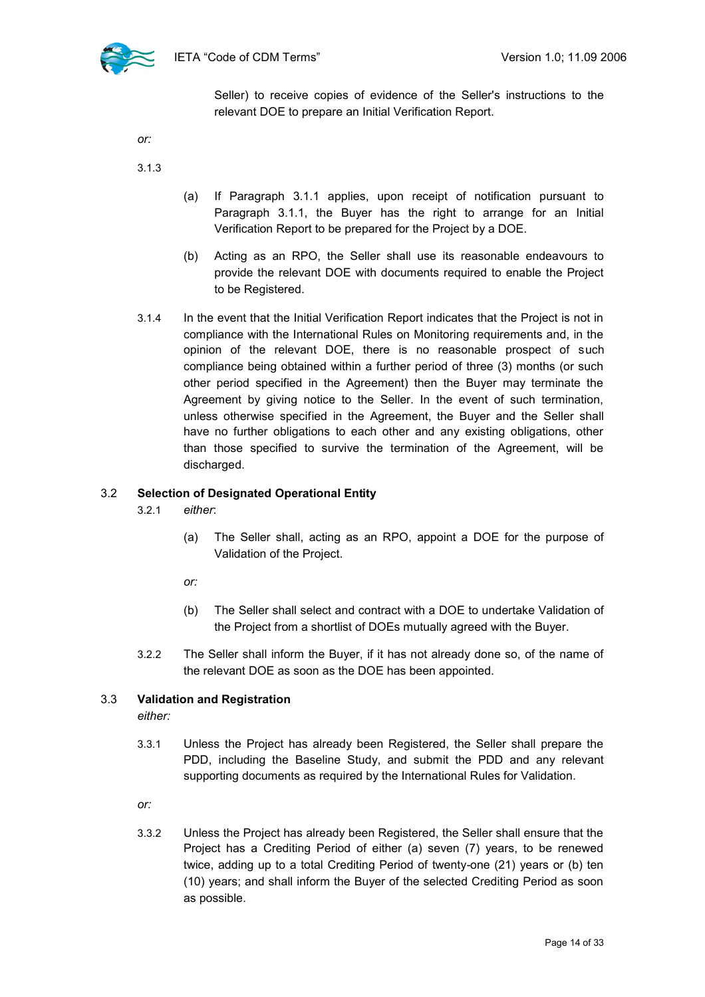

Seller) to receive copies of evidence of the Seller's instructions to the relevant DOE to prepare an Initial Verification Report.

*or:*

3.1.3

- (a) If Paragraph 3.1.1 applies, upon receipt of notification pursuant to Paragraph 3.1.1, the Buyer has the right to arrange for an Initial Verification Report to be prepared for the Project by a DOE.
- (b) Acting as an RPO, the Seller shall use its reasonable endeavours to provide the relevant DOE with documents required to enable the Project to be Registered.
- 3.1.4 In the event that the Initial Verification Report indicates that the Project is not in compliance with the International Rules on Monitoring requirements and, in the opinion of the relevant DOE, there is no reasonable prospect of such compliance being obtained within a further period of three (3) months (or such other period specified in the Agreement) then the Buyer may terminate the Agreement by giving notice to the Seller. In the event of such termination, unless otherwise specified in the Agreement, the Buyer and the Seller shall have no further obligations to each other and any existing obligations, other than those specified to survive the termination of the Agreement, will be discharged.

## 3.2 **Selection of Designated Operational Entity**

3.2.1 *either*:

- (a) The Seller shall, acting as an RPO, appoint a DOE for the purpose of Validation of the Project.
- *or:*
- (b) The Seller shall select and contract with a DOE to undertake Validation of the Project from a shortlist of DOEs mutually agreed with the Buyer.
- 3.2.2 The Seller shall inform the Buyer, if it has not already done so, of the name of the relevant DOE as soon as the DOE has been appointed.

# 3.3 **Validation and Registration**

*either:*

3.3.1 Unless the Project has already been Registered, the Seller shall prepare the PDD, including the Baseline Study, and submit the PDD and any relevant supporting documents as required by the International Rules for Validation.

*or:*

3.3.2 Unless the Project has already been Registered, the Seller shall ensure that the Project has a Crediting Period of either (a) seven (7) years, to be renewed twice, adding up to a total Crediting Period of twenty-one (21) years or (b) ten (10) years; and shall inform the Buyer of the selected Crediting Period as soon as possible.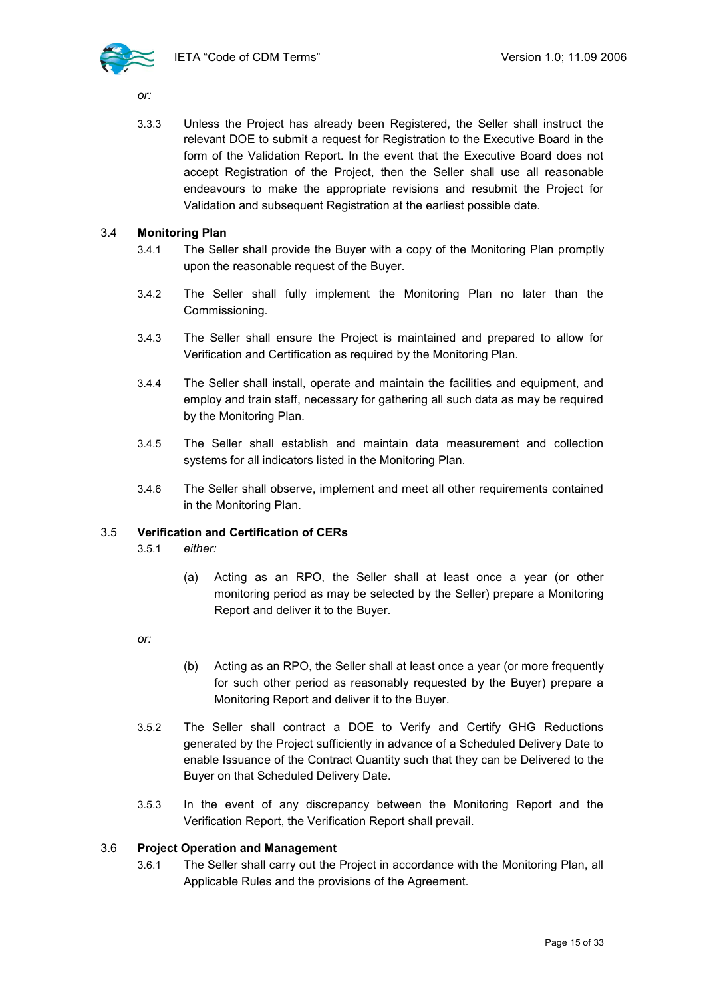

*or:*

3.3.3 Unless the Project has already been Registered, the Seller shall instruct the relevant DOE to submit a request for Registration to the Executive Board in the form of the Validation Report. In the event that the Executive Board does not accept Registration of the Project, then the Seller shall use all reasonable endeavours to make the appropriate revisions and resubmit the Project for Validation and subsequent Registration at the earliest possible date.

## 3.4 **Monitoring Plan**

- 3.4.1 The Seller shall provide the Buyer with a copy of the Monitoring Plan promptly upon the reasonable request of the Buyer.
- 3.4.2 The Seller shall fully implement the Monitoring Plan no later than the Commissioning.
- 3.4.3 The Seller shall ensure the Project is maintained and prepared to allow for Verification and Certification as required by the Monitoring Plan.
- 3.4.4 The Seller shall install, operate and maintain the facilities and equipment, and employ and train staff, necessary for gathering all such data as may be required by the Monitoring Plan.
- 3.4.5 The Seller shall establish and maintain data measurement and collection systems for all indicators listed in the Monitoring Plan.
- 3.4.6 The Seller shall observe, implement and meet all other requirements contained in the Monitoring Plan.

## 3.5 **Verification and Certification of CERs**

- 3.5.1 *either:*
	- (a) Acting as an RPO, the Seller shall at least once a year (or other monitoring period as may be selected by the Seller) prepare a Monitoring Report and deliver it to the Buyer.

*or:*

- (b) Acting as an RPO, the Seller shall at least once a year (or more frequently for such other period as reasonably requested by the Buyer) prepare a Monitoring Report and deliver it to the Buyer.
- 3.5.2 The Seller shall contract a DOE to Verify and Certify GHG Reductions generated by the Project sufficiently in advance of a Scheduled Delivery Date to enable Issuance of the Contract Quantity such that they can be Delivered to the Buyer on that Scheduled Delivery Date.
- 3.5.3 In the event of any discrepancy between the Monitoring Report and the Verification Report, the Verification Report shall prevail.

## 3.6 **Project Operation and Management**

3.6.1 The Seller shall carry out the Project in accordance with the Monitoring Plan, all Applicable Rules and the provisions of the Agreement.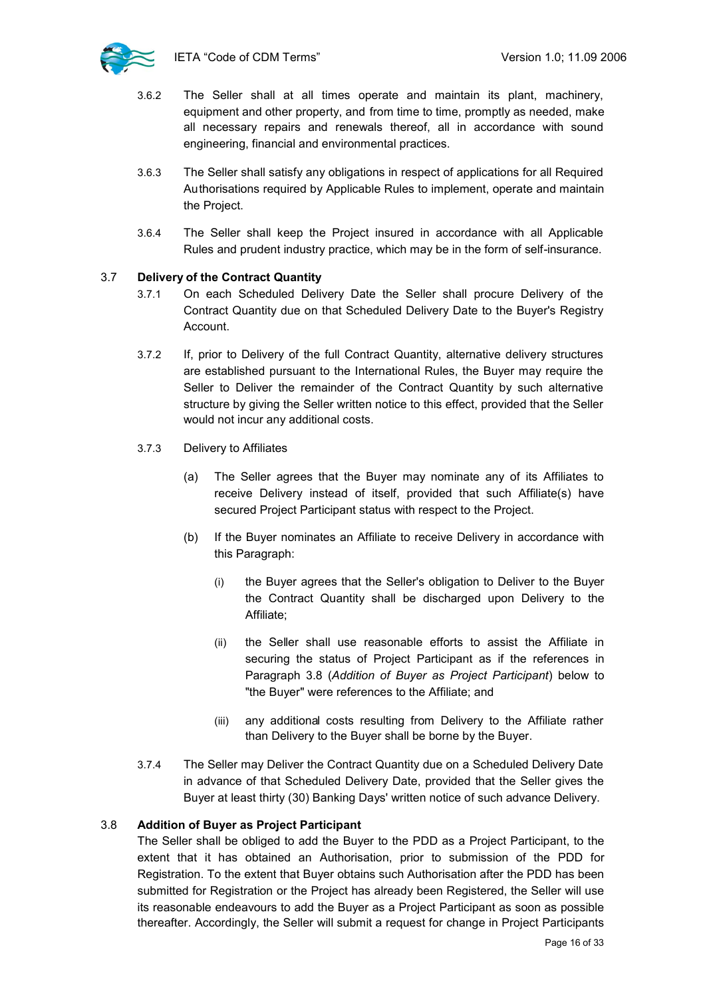

- 3.6.2 The Seller shall at all times operate and maintain its plant, machinery, equipment and other property, and from time to time, promptly as needed, make all necessary repairs and renewals thereof, all in accordance with sound engineering, financial and environmental practices.
- 3.6.3 The Seller shall satisfy any obligations in respect of applications for all Required Authorisations required by Applicable Rules to implement, operate and maintain the Project.
- 3.6.4 The Seller shall keep the Project insured in accordance with all Applicable Rules and prudent industry practice, which may be in the form of self-insurance.

## 3.7 **Delivery of the Contract Quantity**

- 3.7.1 On each Scheduled Delivery Date the Seller shall procure Delivery of the Contract Quantity due on that Scheduled Delivery Date to the Buyer's Registry Account.
- 3.7.2 If, prior to Delivery of the full Contract Quantity, alternative delivery structures are established pursuant to the International Rules, the Buyer may require the Seller to Deliver the remainder of the Contract Quantity by such alternative structure by giving the Seller written notice to this effect, provided that the Seller would not incur any additional costs.
- 3.7.3 Delivery to Affiliates
	- (a) The Seller agrees that the Buyer may nominate any of its Affiliates to receive Delivery instead of itself, provided that such Affiliate(s) have secured Project Participant status with respect to the Project.
	- (b) If the Buyer nominates an Affiliate to receive Delivery in accordance with this Paragraph:
		- (i) the Buyer agrees that the Seller's obligation to Deliver to the Buyer the Contract Quantity shall be discharged upon Delivery to the Affiliate;
		- (ii) the Seller shall use reasonable efforts to assist the Affiliate in securing the status of Project Participant as if the references in Paragraph 3.8 (*Addition of Buyer as Project Participant*) below to "the Buyer" were references to the Affiliate; and
		- (iii) any additional costs resulting from Delivery to the Affiliate rather than Delivery to the Buyer shall be borne by the Buyer.
- 3.7.4 The Seller may Deliver the Contract Quantity due on a Scheduled Delivery Date in advance of that Scheduled Delivery Date, provided that the Seller gives the Buyer at least thirty (30) Banking Days' written notice of such advance Delivery.

## 3.8 **Addition of Buyer as Project Participant**

The Seller shall be obliged to add the Buyer to the PDD as a Project Participant, to the extent that it has obtained an Authorisation, prior to submission of the PDD for Registration. To the extent that Buyer obtains such Authorisation after the PDD has been submitted for Registration or the Project has already been Registered, the Seller will use its reasonable endeavours to add the Buyer as a Project Participant as soon as possible thereafter. Accordingly, the Seller will submit a request for change in Project Participants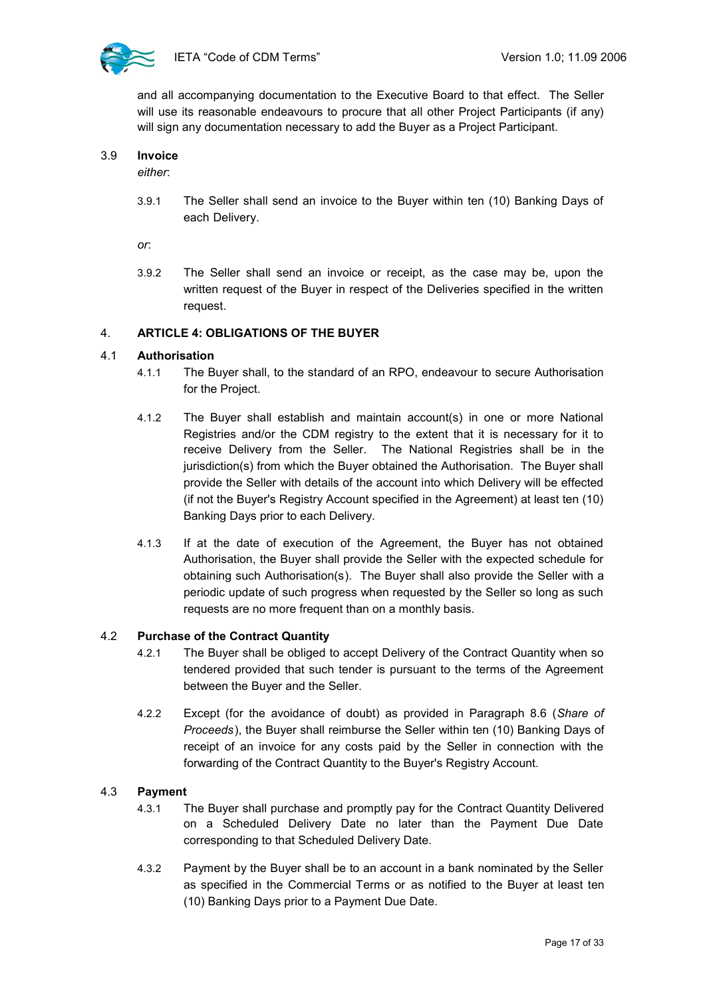

and all accompanying documentation to the Executive Board to that effect. The Seller will use its reasonable endeavours to procure that all other Project Participants (if any) will sign any documentation necessary to add the Buyer as a Project Participant.

#### 3.9 **Invoice**

*either*:

3.9.1 The Seller shall send an invoice to the Buyer within ten (10) Banking Days of each Delivery.

*or*:

3.9.2 The Seller shall send an invoice or receipt, as the case may be, upon the written request of the Buyer in respect of the Deliveries specified in the written request.

## 4. **ARTICLE 4: OBLIGATIONS OF THE BUYER**

#### 4.1 **Authorisation**

- 4.1.1 The Buyer shall, to the standard of an RPO, endeavour to secure Authorisation for the Project.
- 4.1.2 The Buyer shall establish and maintain account(s) in one or more National Registries and/or the CDM registry to the extent that it is necessary for it to receive Delivery from the Seller. The National Registries shall be in the jurisdiction(s) from which the Buyer obtained the Authorisation. The Buyer shall provide the Seller with details of the account into which Delivery will be effected (if not the Buyer's Registry Account specified in the Agreement) at least ten (10) Banking Days prior to each Delivery.
- 4.1.3 If at the date of execution of the Agreement, the Buyer has not obtained Authorisation, the Buyer shall provide the Seller with the expected schedule for obtaining such Authorisation(s). The Buyer shall also provide the Seller with a periodic update of such progress when requested by the Seller so long as such requests are no more frequent than on a monthly basis.

#### 4.2 **Purchase of the Contract Quantity**

- 4.2.1 The Buyer shall be obliged to accept Delivery of the Contract Quantity when so tendered provided that such tender is pursuant to the terms of the Agreement between the Buyer and the Seller.
- 4.2.2 Except (for the avoidance of doubt) as provided in Paragraph 8.6 (*Share of Proceeds*), the Buyer shall reimburse the Seller within ten (10) Banking Days of receipt of an invoice for any costs paid by the Seller in connection with the forwarding of the Contract Quantity to the Buyer's Registry Account.

#### 4.3 **Payment**

- 4.3.1 The Buyer shall purchase and promptly pay for the Contract Quantity Delivered on a Scheduled Delivery Date no later than the Payment Due Date corresponding to that Scheduled Delivery Date.
- 4.3.2 Payment by the Buyer shall be to an account in a bank nominated by the Seller as specified in the Commercial Terms or as notified to the Buyer at least ten (10) Banking Days prior to a Payment Due Date.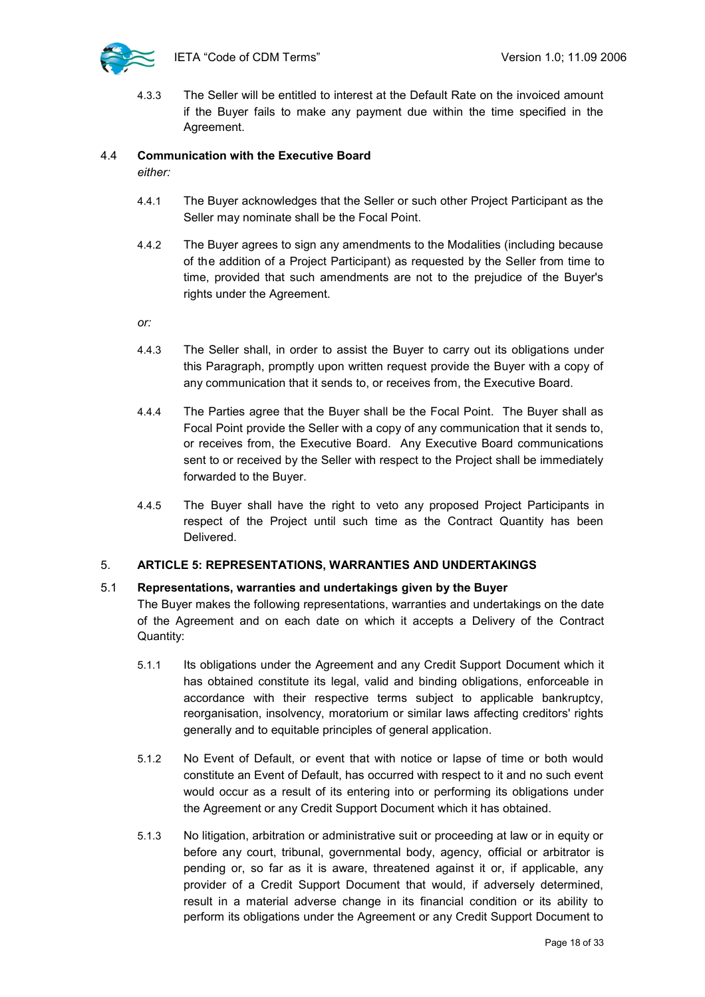

4.3.3 The Seller will be entitled to interest at the Default Rate on the invoiced amount if the Buyer fails to make any payment due within the time specified in the Agreement.

## 4.4 **Communication with the Executive Board**

*either:*

- 4.4.1 The Buyer acknowledges that the Seller or such other Project Participant as the Seller may nominate shall be the Focal Point.
- 4.4.2 The Buyer agrees to sign any amendments to the Modalities (including because of the addition of a Project Participant) as requested by the Seller from time to time, provided that such amendments are not to the prejudice of the Buyer's rights under the Agreement.

*or:*

- 4.4.3 The Seller shall, in order to assist the Buyer to carry out its obligations under this Paragraph, promptly upon written request provide the Buyer with a copy of any communication that it sends to, or receives from, the Executive Board.
- 4.4.4 The Parties agree that the Buyer shall be the Focal Point. The Buyer shall as Focal Point provide the Seller with a copy of any communication that it sends to, or receives from, the Executive Board. Any Executive Board communications sent to or received by the Seller with respect to the Project shall be immediately forwarded to the Buyer.
- 4.4.5 The Buyer shall have the right to veto any proposed Project Participants in respect of the Project until such time as the Contract Quantity has been Delivered.

#### 5. **ARTICLE 5: REPRESENTATIONS, WARRANTIES AND UNDERTAKINGS**

## 5.1 **Representations, warranties and undertakings given by the Buyer**

The Buyer makes the following representations, warranties and undertakings on the date of the Agreement and on each date on which it accepts a Delivery of the Contract Quantity:

- 5.1.1 Its obligations under the Agreement and any Credit Support Document which it has obtained constitute its legal, valid and binding obligations, enforceable in accordance with their respective terms subject to applicable bankruptcy, reorganisation, insolvency, moratorium or similar laws affecting creditors' rights generally and to equitable principles of general application.
- 5.1.2 No Event of Default, or event that with notice or lapse of time or both would constitute an Event of Default, has occurred with respect to it and no such event would occur as a result of its entering into or performing its obligations under the Agreement or any Credit Support Document which it has obtained.
- 5.1.3 No litigation, arbitration or administrative suit or proceeding at law or in equity or before any court, tribunal, governmental body, agency, official or arbitrator is pending or, so far as it is aware, threatened against it or, if applicable, any provider of a Credit Support Document that would, if adversely determined, result in a material adverse change in its financial condition or its ability to perform its obligations under the Agreement or any Credit Support Document to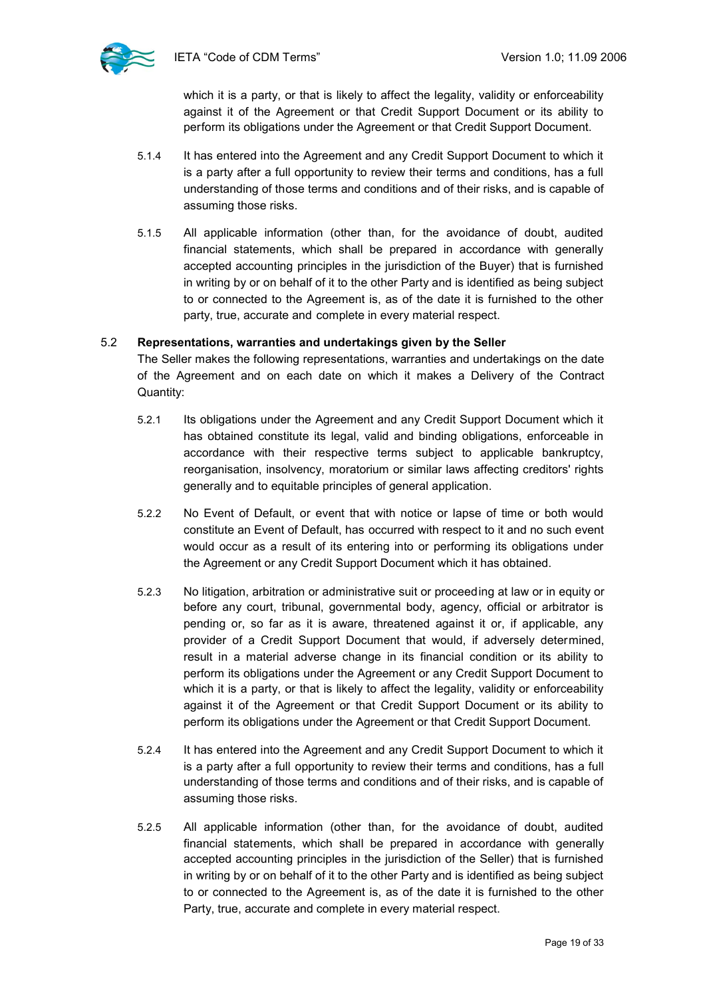

which it is a party, or that is likely to affect the legality, validity or enforceability against it of the Agreement or that Credit Support Document or its ability to perform its obligations under the Agreement or that Credit Support Document.

- 5.1.4 It has entered into the Agreement and any Credit Support Document to which it is a party after a full opportunity to review their terms and conditions, has a full understanding of those terms and conditions and of their risks, and is capable of assuming those risks.
- 5.1.5 All applicable information (other than, for the avoidance of doubt, audited financial statements, which shall be prepared in accordance with generally accepted accounting principles in the jurisdiction of the Buyer) that is furnished in writing by or on behalf of it to the other Party and is identified as being subject to or connected to the Agreement is, as of the date it is furnished to the other party, true, accurate and complete in every material respect.

## 5.2 **Representations, warranties and undertakings given by the Seller**

The Seller makes the following representations, warranties and undertakings on the date of the Agreement and on each date on which it makes a Delivery of the Contract Quantity:

- 5.2.1 Its obligations under the Agreement and any Credit Support Document which it has obtained constitute its legal, valid and binding obligations, enforceable in accordance with their respective terms subject to applicable bankruptcy, reorganisation, insolvency, moratorium or similar laws affecting creditors' rights generally and to equitable principles of general application.
- 5.2.2 No Event of Default, or event that with notice or lapse of time or both would constitute an Event of Default, has occurred with respect to it and no such event would occur as a result of its entering into or performing its obligations under the Agreement or any Credit Support Document which it has obtained.
- 5.2.3 No litigation, arbitration or administrative suit or proceeding at law or in equity or before any court, tribunal, governmental body, agency, official or arbitrator is pending or, so far as it is aware, threatened against it or, if applicable, any provider of a Credit Support Document that would, if adversely determined, result in a material adverse change in its financial condition or its ability to perform its obligations under the Agreement or any Credit Support Document to which it is a party, or that is likely to affect the legality, validity or enforceability against it of the Agreement or that Credit Support Document or its ability to perform its obligations under the Agreement or that Credit Support Document.
- 5.2.4 It has entered into the Agreement and any Credit Support Document to which it is a party after a full opportunity to review their terms and conditions, has a full understanding of those terms and conditions and of their risks, and is capable of assuming those risks.
- 5.2.5 All applicable information (other than, for the avoidance of doubt, audited financial statements, which shall be prepared in accordance with generally accepted accounting principles in the jurisdiction of the Seller) that is furnished in writing by or on behalf of it to the other Party and is identified as being subject to or connected to the Agreement is, as of the date it is furnished to the other Party, true, accurate and complete in every material respect.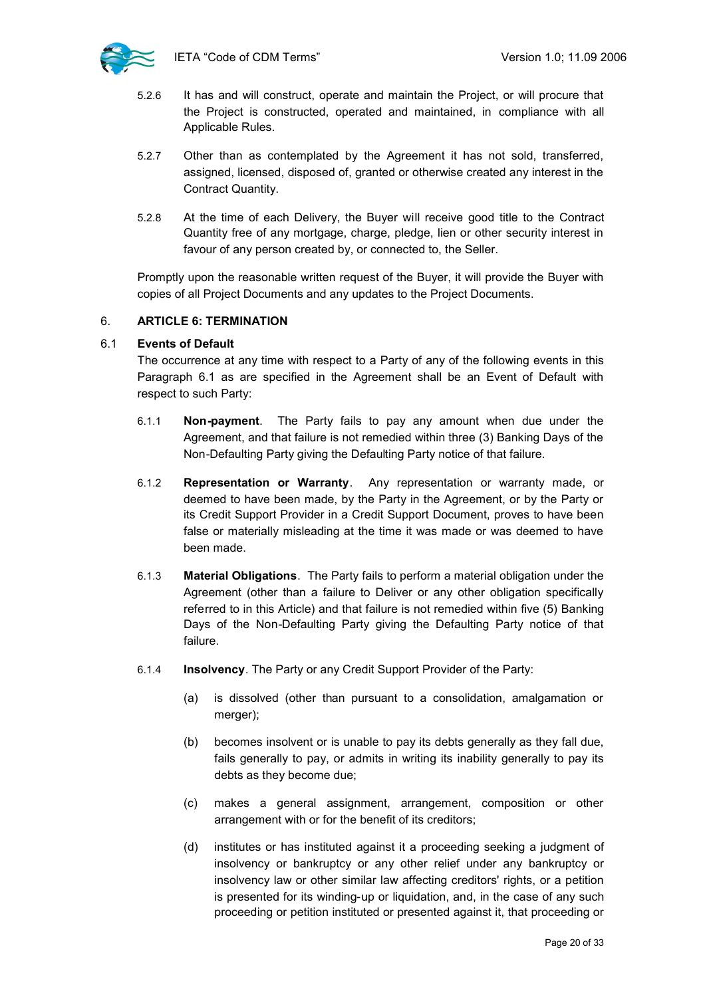

- 5.2.6 It has and will construct, operate and maintain the Project, or will procure that the Project is constructed, operated and maintained, in compliance with all Applicable Rules.
- 5.2.7 Other than as contemplated by the Agreement it has not sold, transferred, assigned, licensed, disposed of, granted or otherwise created any interest in the Contract Quantity.
- 5.2.8 At the time of each Delivery, the Buyer will receive good title to the Contract Quantity free of any mortgage, charge, pledge, lien or other security interest in favour of any person created by, or connected to, the Seller.

Promptly upon the reasonable written request of the Buyer, it will provide the Buyer with copies of all Project Documents and any updates to the Project Documents.

#### 6. **ARTICLE 6: TERMINATION**

## 6.1 **Events of Default**

The occurrence at any time with respect to a Party of any of the following events in this Paragraph 6.1 as are specified in the Agreement shall be an Event of Default with respect to such Party:

- 6.1.1 **Non-payment**. The Party fails to pay any amount when due under the Agreement, and that failure is not remedied within three (3) Banking Days of the Non-Defaulting Party giving the Defaulting Party notice of that failure.
- 6.1.2 **Representation or Warranty**. Any representation or warranty made, or deemed to have been made, by the Party in the Agreement, or by the Party or its Credit Support Provider in a Credit Support Document, proves to have been false or materially misleading at the time it was made or was deemed to have been made.
- 6.1.3 **Material Obligations**. The Party fails to perform a material obligation under the Agreement (other than a failure to Deliver or any other obligation specifically referred to in this Article) and that failure is not remedied within five (5) Banking Days of the Non-Defaulting Party giving the Defaulting Party notice of that failure.
- 6.1.4 **Insolvency**. The Party or any Credit Support Provider of the Party:
	- (a) is dissolved (other than pursuant to a consolidation, amalgamation or merger);
	- (b) becomes insolvent or is unable to pay its debts generally as they fall due, fails generally to pay, or admits in writing its inability generally to pay its debts as they become due;
	- (c) makes a general assignment, arrangement, composition or other arrangement with or for the benefit of its creditors;
	- (d) institutes or has instituted against it a proceeding seeking a judgment of insolvency or bankruptcy or any other relief under any bankruptcy or insolvency law or other similar law affecting creditors' rights, or a petition is presented for its winding-up or liquidation, and, in the case of any such proceeding or petition instituted or presented against it, that proceeding or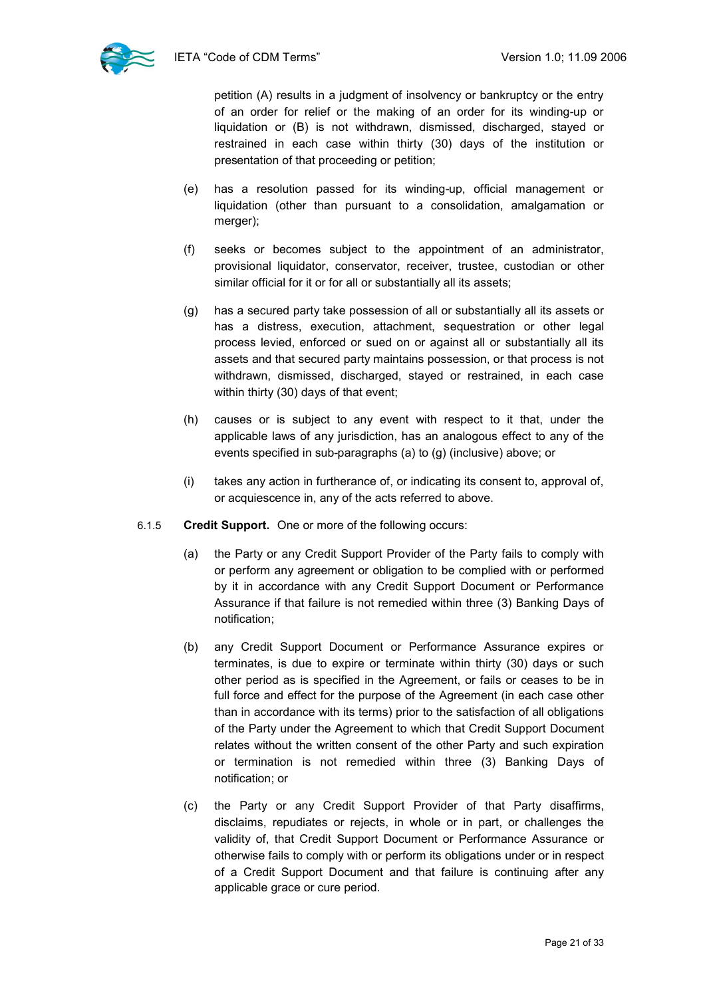

petition (A) results in a judgment of insolvency or bankruptcy or the entry of an order for relief or the making of an order for its winding-up or liquidation or (B) is not withdrawn, dismissed, discharged, stayed or restrained in each case within thirty (30) days of the institution or presentation of that proceeding or petition;

- (e) has a resolution passed for its winding-up, official management or liquidation (other than pursuant to a consolidation, amalgamation or merger);
- (f) seeks or becomes subject to the appointment of an administrator, provisional liquidator, conservator, receiver, trustee, custodian or other similar official for it or for all or substantially all its assets;
- (g) has a secured party take possession of all or substantially all its assets or has a distress, execution, attachment, sequestration or other legal process levied, enforced or sued on or against all or substantially all its assets and that secured party maintains possession, or that process is not withdrawn, dismissed, discharged, stayed or restrained, in each case within thirty (30) days of that event;
- (h) causes or is subject to any event with respect to it that, under the applicable laws of any jurisdiction, has an analogous effect to any of the events specified in sub-paragraphs (a) to (g) (inclusive) above; or
- (i) takes any action in furtherance of, or indicating its consent to, approval of, or acquiescence in, any of the acts referred to above.
- 6.1.5 **Credit Support.** One or more of the following occurs:
	- (a) the Party or any Credit Support Provider of the Party fails to comply with or perform any agreement or obligation to be complied with or performed by it in accordance with any Credit Support Document or Performance Assurance if that failure is not remedied within three (3) Banking Days of notification;
	- (b) any Credit Support Document or Performance Assurance expires or terminates, is due to expire or terminate within thirty (30) days or such other period as is specified in the Agreement, or fails or ceases to be in full force and effect for the purpose of the Agreement (in each case other than in accordance with its terms) prior to the satisfaction of all obligations of the Party under the Agreement to which that Credit Support Document relates without the written consent of the other Party and such expiration or termination is not remedied within three (3) Banking Days of notification; or
	- (c) the Party or any Credit Support Provider of that Party disaffirms, disclaims, repudiates or rejects, in whole or in part, or challenges the validity of, that Credit Support Document or Performance Assurance or otherwise fails to comply with or perform its obligations under or in respect of a Credit Support Document and that failure is continuing after any applicable grace or cure period.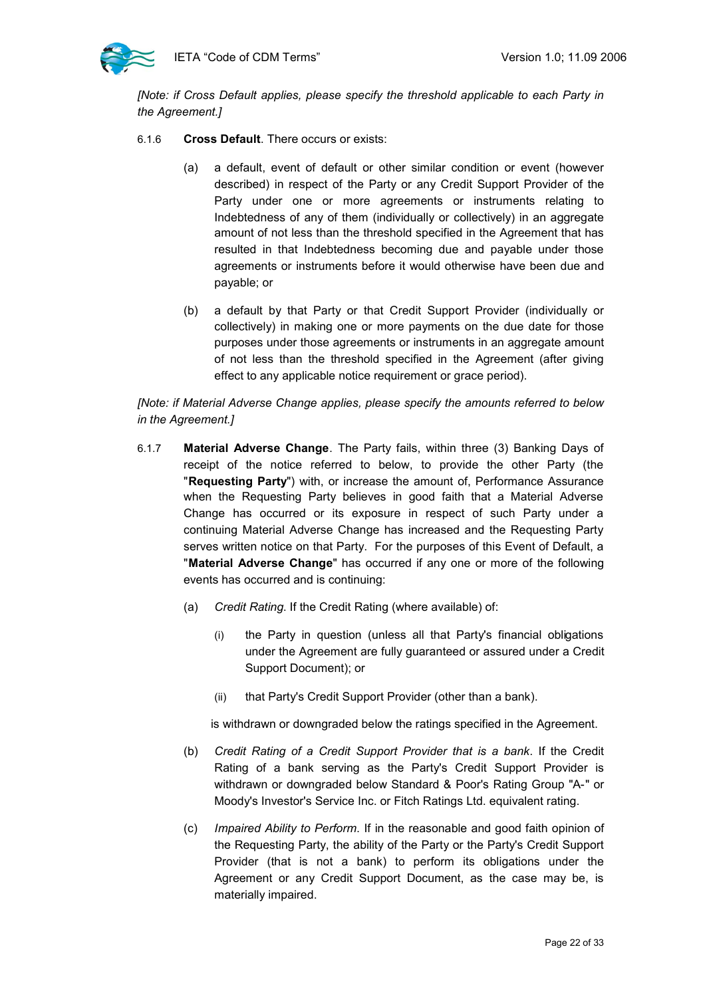

*[Note: if Cross Default applies, please specify the threshold applicable to each Party in the Agreement.]*

- 6.1.6 **Cross Default**. There occurs or exists:
	- (a) a default, event of default or other similar condition or event (however described) in respect of the Party or any Credit Support Provider of the Party under one or more agreements or instruments relating to Indebtedness of any of them (individually or collectively) in an aggregate amount of not less than the threshold specified in the Agreement that has resulted in that Indebtedness becoming due and payable under those agreements or instruments before it would otherwise have been due and payable; or
	- (b) a default by that Party or that Credit Support Provider (individually or collectively) in making one or more payments on the due date for those purposes under those agreements or instruments in an aggregate amount of not less than the threshold specified in the Agreement (after giving effect to any applicable notice requirement or grace period).

## *[Note: if Material Adverse Change applies, please specify the amounts referred to below in the Agreement.]*

- 6.1.7 **Material Adverse Change**. The Party fails, within three (3) Banking Days of receipt of the notice referred to below, to provide the other Party (the "**Requesting Party**") with, or increase the amount of, Performance Assurance when the Requesting Party believes in good faith that a Material Adverse Change has occurred or its exposure in respect of such Party under a continuing Material Adverse Change has increased and the Requesting Party serves written notice on that Party. For the purposes of this Event of Default, a "**Material Adverse Change**" has occurred if any one or more of the following events has occurred and is continuing:
	- (a) *Credit Rating*. If the Credit Rating (where available) of:
		- (i) the Party in question (unless all that Party's financial obligations under the Agreement are fully guaranteed or assured under a Credit Support Document); or
		- (ii) that Party's Credit Support Provider (other than a bank).

is withdrawn or downgraded below the ratings specified in the Agreement.

- (b) *Credit Rating of a Credit Support Provider that is a bank*. If the Credit Rating of a bank serving as the Party's Credit Support Provider is withdrawn or downgraded below Standard & Poor's Rating Group "A-" or Moody's Investor's Service Inc. or Fitch Ratings Ltd. equivalent rating.
- (c) *Impaired Ability to Perform*. If in the reasonable and good faith opinion of the Requesting Party, the ability of the Party or the Party's Credit Support Provider (that is not a bank) to perform its obligations under the Agreement or any Credit Support Document, as the case may be, is materially impaired.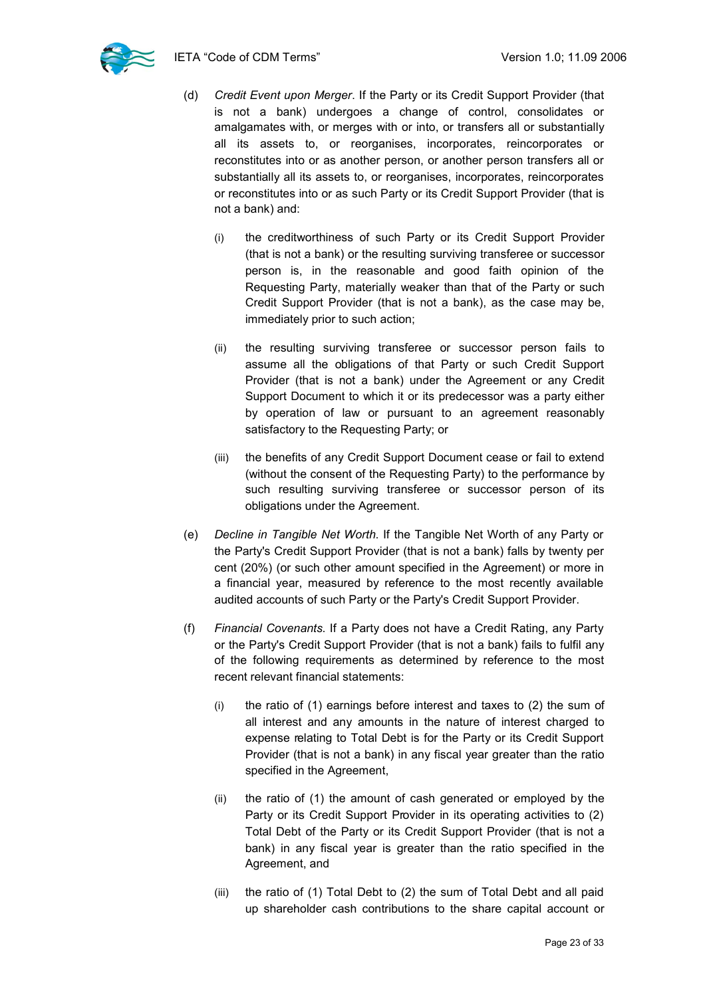

- (d) *Credit Event upon Merger*. If the Party or its Credit Support Provider (that is not a bank) undergoes a change of control, consolidates or amalgamates with, or merges with or into, or transfers all or substantially all its assets to, or reorganises, incorporates, reincorporates or reconstitutes into or as another person, or another person transfers all or substantially all its assets to, or reorganises, incorporates, reincorporates or reconstitutes into or as such Party or its Credit Support Provider (that is not a bank) and:
	- (i) the creditworthiness of such Party or its Credit Support Provider (that is not a bank) or the resulting surviving transferee or successor person is, in the reasonable and good faith opinion of the Requesting Party, materially weaker than that of the Party or such Credit Support Provider (that is not a bank), as the case may be, immediately prior to such action;
	- (ii) the resulting surviving transferee or successor person fails to assume all the obligations of that Party or such Credit Support Provider (that is not a bank) under the Agreement or any Credit Support Document to which it or its predecessor was a party either by operation of law or pursuant to an agreement reasonably satisfactory to the Requesting Party; or
	- (iii) the benefits of any Credit Support Document cease or fail to extend (without the consent of the Requesting Party) to the performance by such resulting surviving transferee or successor person of its obligations under the Agreement.
- (e) *Decline in Tangible Net Worth*. If the Tangible Net Worth of any Party or the Party's Credit Support Provider (that is not a bank) falls by twenty per cent (20%) (or such other amount specified in the Agreement) or more in a financial year, measured by reference to the most recently available audited accounts of such Party or the Party's Credit Support Provider.
- (f) *Financial Covenants*. If a Party does not have a Credit Rating, any Party or the Party's Credit Support Provider (that is not a bank) fails to fulfil any of the following requirements as determined by reference to the most recent relevant financial statements:
	- (i) the ratio of (1) earnings before interest and taxes to (2) the sum of all interest and any amounts in the nature of interest charged to expense relating to Total Debt is for the Party or its Credit Support Provider (that is not a bank) in any fiscal year greater than the ratio specified in the Agreement,
	- (ii) the ratio of (1) the amount of cash generated or employed by the Party or its Credit Support Provider in its operating activities to (2) Total Debt of the Party or its Credit Support Provider (that is not a bank) in any fiscal year is greater than the ratio specified in the Agreement, and
	- (iii) the ratio of (1) Total Debt to (2) the sum of Total Debt and all paid up shareholder cash contributions to the share capital account or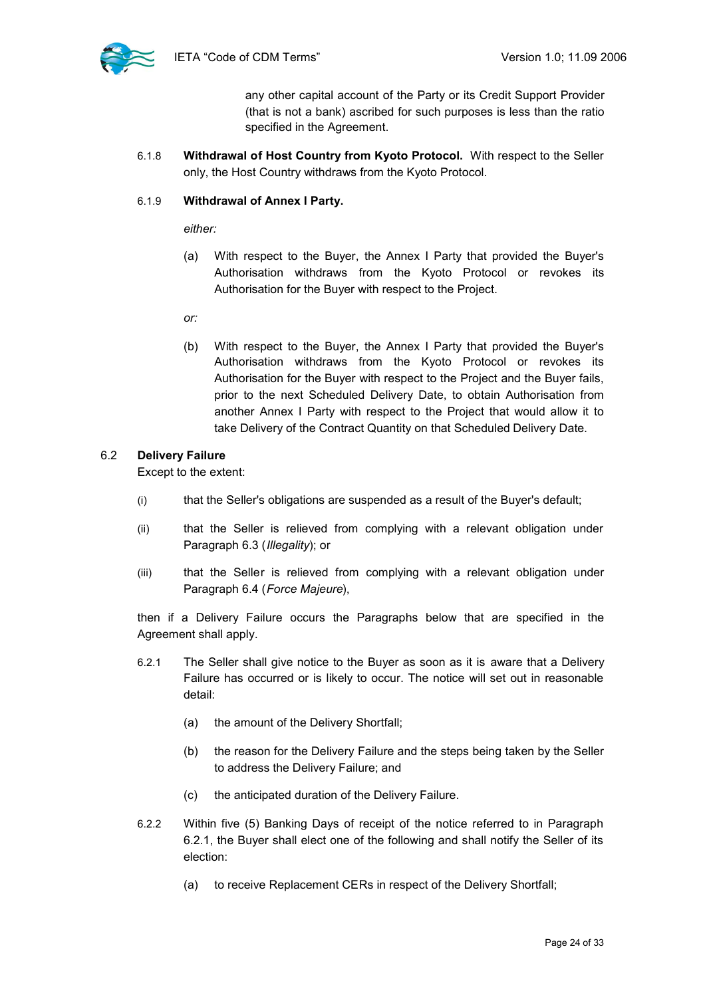

any other capital account of the Party or its Credit Support Provider (that is not a bank) ascribed for such purposes is less than the ratio specified in the Agreement.

6.1.8 **Withdrawal of Host Country from Kyoto Protocol.** With respect to the Seller only, the Host Country withdraws from the Kyoto Protocol.

## 6.1.9 **Withdrawal of Annex I Party.**

*either:*

- (a) With respect to the Buyer, the Annex I Party that provided the Buyer's Authorisation withdraws from the Kyoto Protocol or revokes its Authorisation for the Buyer with respect to the Project.
- *or:*
- (b) With respect to the Buyer, the Annex I Party that provided the Buyer's Authorisation withdraws from the Kyoto Protocol or revokes its Authorisation for the Buyer with respect to the Project and the Buyer fails, prior to the next Scheduled Delivery Date, to obtain Authorisation from another Annex I Party with respect to the Project that would allow it to take Delivery of the Contract Quantity on that Scheduled Delivery Date.

#### 6.2 **Delivery Failure**

Except to the extent:

- (i) that the Seller's obligations are suspended as a result of the Buyer's default;
- (ii) that the Seller is relieved from complying with a relevant obligation under Paragraph 6.3 (*Illegality*); or
- (iii) that the Seller is relieved from complying with a relevant obligation under Paragraph 6.4 (*Force Majeure*),

then if a Delivery Failure occurs the Paragraphs below that are specified in the Agreement shall apply.

- 6.2.1 The Seller shall give notice to the Buyer as soon as it is aware that a Delivery Failure has occurred or is likely to occur. The notice will set out in reasonable detail:
	- (a) the amount of the Delivery Shortfall;
	- (b) the reason for the Delivery Failure and the steps being taken by the Seller to address the Delivery Failure; and
	- (c) the anticipated duration of the Delivery Failure.
- 6.2.2 Within five (5) Banking Days of receipt of the notice referred to in Paragraph 6.2.1, the Buyer shall elect one of the following and shall notify the Seller of its election:
	- (a) to receive Replacement CERs in respect of the Delivery Shortfall;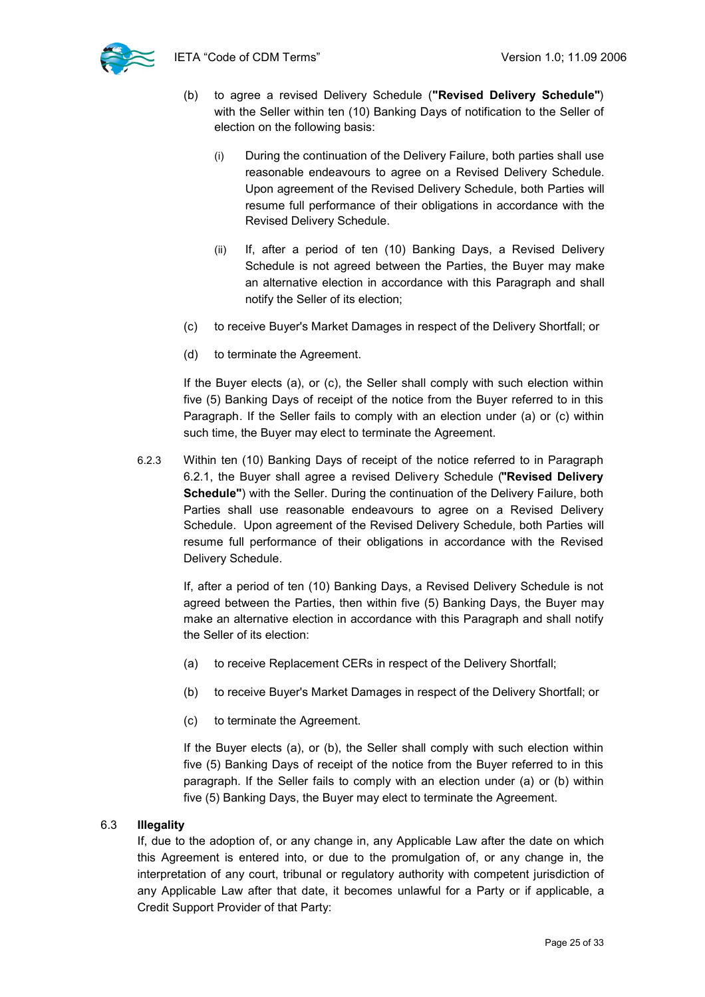

- (b) to agree a revised Delivery Schedule (**"Revised Delivery Schedule"**) with the Seller within ten (10) Banking Days of notification to the Seller of election on the following basis:
	- (i) During the continuation of the Delivery Failure, both parties shall use reasonable endeavours to agree on a Revised Delivery Schedule. Upon agreement of the Revised Delivery Schedule, both Parties will resume full performance of their obligations in accordance with the Revised Delivery Schedule.
	- (ii) If, after a period of ten (10) Banking Days, a Revised Delivery Schedule is not agreed between the Parties, the Buyer may make an alternative election in accordance with this Paragraph and shall notify the Seller of its election;
- (c) to receive Buyer's Market Damages in respect of the Delivery Shortfall; or
- (d) to terminate the Agreement.

If the Buyer elects (a), or (c), the Seller shall comply with such election within five (5) Banking Days of receipt of the notice from the Buyer referred to in this Paragraph. If the Seller fails to comply with an election under (a) or (c) within such time, the Buyer may elect to terminate the Agreement.

6.2.3 Within ten (10) Banking Days of receipt of the notice referred to in Paragraph 6.2.1, the Buyer shall agree a revised Delivery Schedule (**"Revised Delivery Schedule"**) with the Seller. During the continuation of the Delivery Failure, both Parties shall use reasonable endeavours to agree on a Revised Delivery Schedule. Upon agreement of the Revised Delivery Schedule, both Parties will resume full performance of their obligations in accordance with the Revised Delivery Schedule.

If, after a period of ten (10) Banking Days, a Revised Delivery Schedule is not agreed between the Parties, then within five (5) Banking Days, the Buyer may make an alternative election in accordance with this Paragraph and shall notify the Seller of its election:

- (a) to receive Replacement CERs in respect of the Delivery Shortfall;
- (b) to receive Buyer's Market Damages in respect of the Delivery Shortfall; or
- (c) to terminate the Agreement.

If the Buyer elects (a), or (b), the Seller shall comply with such election within five (5) Banking Days of receipt of the notice from the Buyer referred to in this paragraph. If the Seller fails to comply with an election under (a) or (b) within five (5) Banking Days, the Buyer may elect to terminate the Agreement.

## 6.3 **Illegality**

If, due to the adoption of, or any change in, any Applicable Law after the date on which this Agreement is entered into, or due to the promulgation of, or any change in, the interpretation of any court, tribunal or regulatory authority with competent jurisdiction of any Applicable Law after that date, it becomes unlawful for a Party or if applicable, a Credit Support Provider of that Party: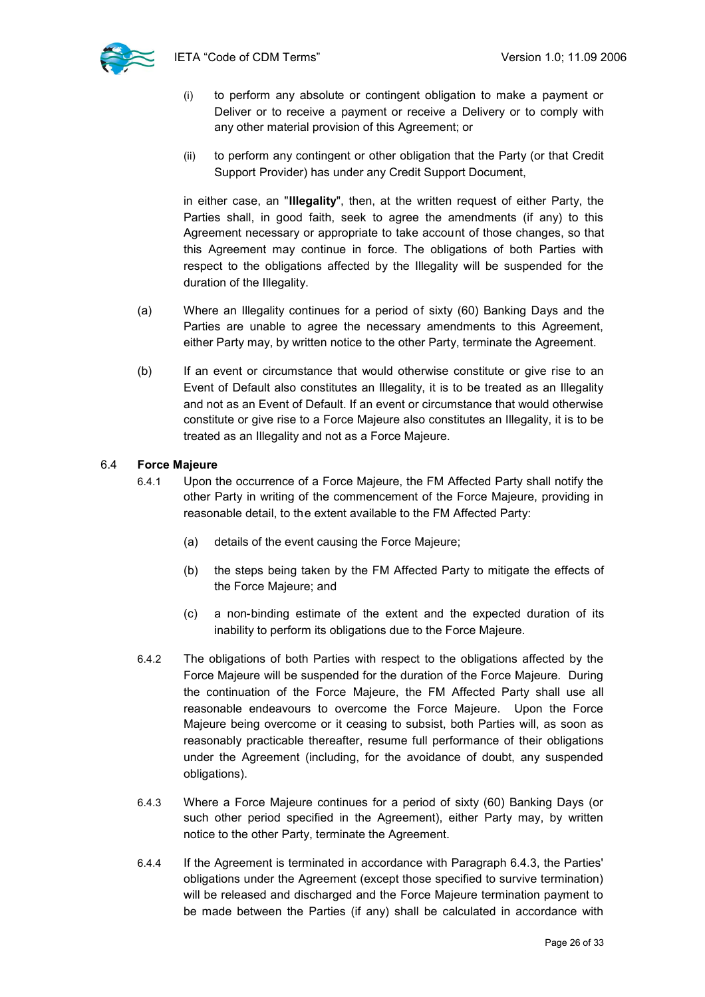

- (i) to perform any absolute or contingent obligation to make a payment or Deliver or to receive a payment or receive a Delivery or to comply with any other material provision of this Agreement; or
- (ii) to perform any contingent or other obligation that the Party (or that Credit Support Provider) has under any Credit Support Document,

in either case, an "**Illegality**", then, at the written request of either Party, the Parties shall, in good faith, seek to agree the amendments (if any) to this Agreement necessary or appropriate to take account of those changes, so that this Agreement may continue in force. The obligations of both Parties with respect to the obligations affected by the Illegality will be suspended for the duration of the Illegality.

- (a) Where an Illegality continues for a period of sixty (60) Banking Days and the Parties are unable to agree the necessary amendments to this Agreement, either Party may, by written notice to the other Party, terminate the Agreement.
- (b) If an event or circumstance that would otherwise constitute or give rise to an Event of Default also constitutes an Illegality, it is to be treated as an Illegality and not as an Event of Default. If an event or circumstance that would otherwise constitute or give rise to a Force Majeure also constitutes an Illegality, it is to be treated as an Illegality and not as a Force Majeure.

## 6.4 **Force Majeure**

- 6.4.1 Upon the occurrence of a Force Majeure, the FM Affected Party shall notify the other Party in writing of the commencement of the Force Majeure, providing in reasonable detail, to the extent available to the FM Affected Party:
	- (a) details of the event causing the Force Majeure;
	- (b) the steps being taken by the FM Affected Party to mitigate the effects of the Force Majeure; and
	- (c) a non-binding estimate of the extent and the expected duration of its inability to perform its obligations due to the Force Majeure.
- 6.4.2 The obligations of both Parties with respect to the obligations affected by the Force Majeure will be suspended for the duration of the Force Majeure. During the continuation of the Force Majeure, the FM Affected Party shall use all reasonable endeavours to overcome the Force Majeure. Upon the Force Majeure being overcome or it ceasing to subsist, both Parties will, as soon as reasonably practicable thereafter, resume full performance of their obligations under the Agreement (including, for the avoidance of doubt, any suspended obligations).
- 6.4.3 Where a Force Majeure continues for a period of sixty (60) Banking Days (or such other period specified in the Agreement), either Party may, by written notice to the other Party, terminate the Agreement.
- 6.4.4 If the Agreement is terminated in accordance with Paragraph 6.4.3, the Parties' obligations under the Agreement (except those specified to survive termination) will be released and discharged and the Force Majeure termination payment to be made between the Parties (if any) shall be calculated in accordance with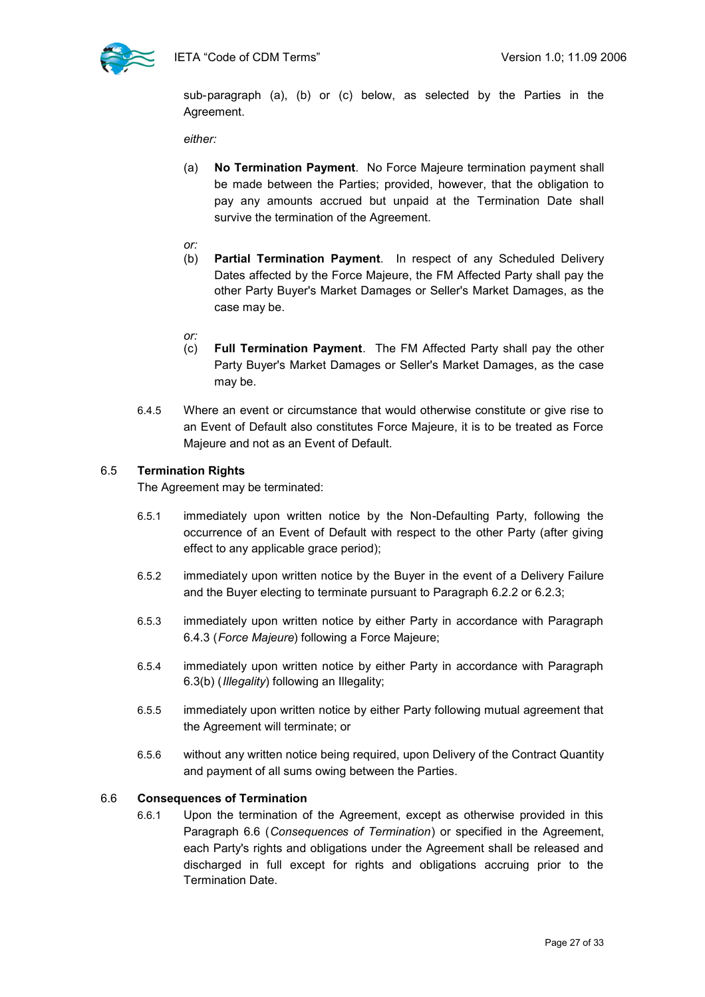

sub-paragraph (a), (b) or (c) below, as selected by the Parties in the Agreement.

*either:*

- (a) **No Termination Payment**. No Force Majeure termination payment shall be made between the Parties; provided, however, that the obligation to pay any amounts accrued but unpaid at the Termination Date shall survive the termination of the Agreement.
- *or:*
- (b) **Partial Termination Payment**. In respect of any Scheduled Delivery Dates affected by the Force Majeure, the FM Affected Party shall pay the other Party Buyer's Market Damages or Seller's Market Damages, as the case may be.
- *or:*<br>(c)
- **Full Termination Payment.** The FM Affected Party shall pay the other Party Buyer's Market Damages or Seller's Market Damages, as the case may be.
- 6.4.5 Where an event or circumstance that would otherwise constitute or give rise to an Event of Default also constitutes Force Majeure, it is to be treated as Force Majeure and not as an Event of Default.

## 6.5 **Termination Rights**

The Agreement may be terminated:

- 6.5.1 immediately upon written notice by the Non-Defaulting Party, following the occurrence of an Event of Default with respect to the other Party (after giving effect to any applicable grace period);
- 6.5.2 immediately upon written notice by the Buyer in the event of a Delivery Failure and the Buyer electing to terminate pursuant to Paragraph 6.2.2 or 6.2.3;
- 6.5.3 immediately upon written notice by either Party in accordance with Paragraph 6.4.3 (*Force Majeure*) following a Force Majeure;
- 6.5.4 immediately upon written notice by either Party in accordance with Paragraph 6.3(b) (*Illegality*) following an Illegality;
- 6.5.5 immediately upon written notice by either Party following mutual agreement that the Agreement will terminate; or
- 6.5.6 without any written notice being required, upon Delivery of the Contract Quantity and payment of all sums owing between the Parties.

## 6.6 **Consequences of Termination**

6.6.1 Upon the termination of the Agreement, except as otherwise provided in this Paragraph 6.6 (*Consequences of Termination*) or specified in the Agreement, each Party's rights and obligations under the Agreement shall be released and discharged in full except for rights and obligations accruing prior to the Termination Date.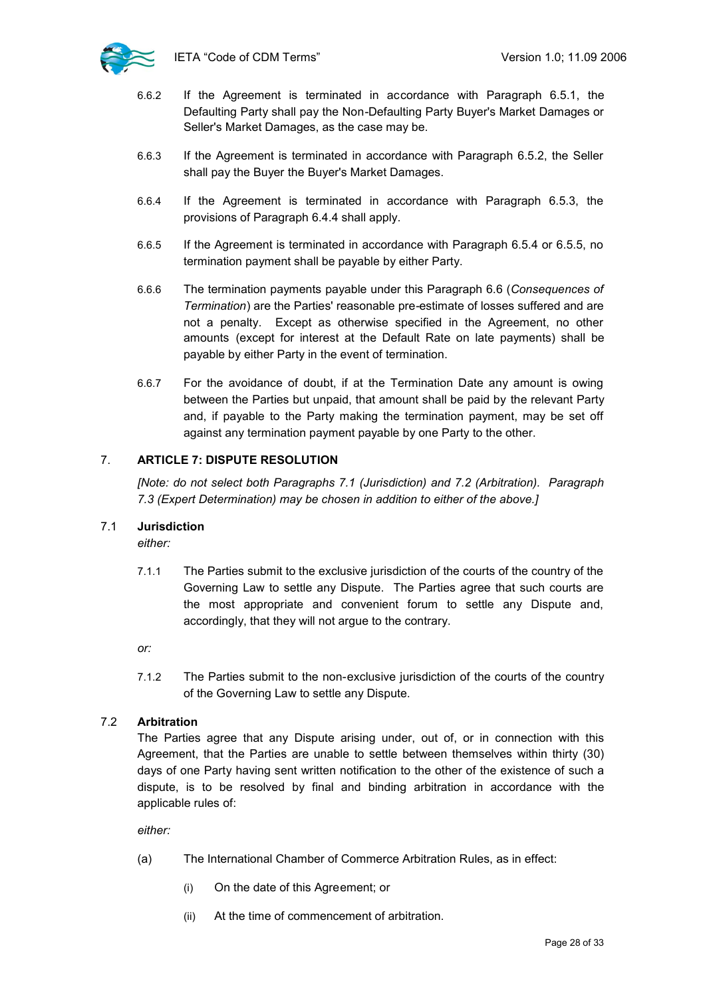

- 6.6.2 If the Agreement is terminated in accordance with Paragraph 6.5.1, the Defaulting Party shall pay the Non-Defaulting Party Buyer's Market Damages or Seller's Market Damages, as the case may be.
- 6.6.3 If the Agreement is terminated in accordance with Paragraph 6.5.2, the Seller shall pay the Buyer the Buyer's Market Damages.
- 6.6.4 If the Agreement is terminated in accordance with Paragraph 6.5.3, the provisions of Paragraph 6.4.4 shall apply.
- 6.6.5 If the Agreement is terminated in accordance with Paragraph 6.5.4 or 6.5.5, no termination payment shall be payable by either Party.
- 6.6.6 The termination payments payable under this Paragraph 6.6 (*Consequences of Termination*) are the Parties' reasonable pre-estimate of losses suffered and are not a penalty. Except as otherwise specified in the Agreement, no other amounts (except for interest at the Default Rate on late payments) shall be payable by either Party in the event of termination.
- 6.6.7 For the avoidance of doubt, if at the Termination Date any amount is owing between the Parties but unpaid, that amount shall be paid by the relevant Party and, if payable to the Party making the termination payment, may be set off against any termination payment payable by one Party to the other.

## 7. **ARTICLE 7: DISPUTE RESOLUTION**

*[Note: do not select both Paragraphs 7.1 (Jurisdiction) and 7.2 (Arbitration). Paragraph 7.3 (Expert Determination) may be chosen in addition to either of the above.]*

## 7.1 **Jurisdiction**

*either:*

7.1.1 The Parties submit to the exclusive jurisdiction of the courts of the country of the Governing Law to settle any Dispute. The Parties agree that such courts are the most appropriate and convenient forum to settle any Dispute and, accordingly, that they will not argue to the contrary.

*or:*

7.1.2 The Parties submit to the non-exclusive jurisdiction of the courts of the country of the Governing Law to settle any Dispute.

## 7.2 **Arbitration**

The Parties agree that any Dispute arising under, out of, or in connection with this Agreement, that the Parties are unable to settle between themselves within thirty (30) days of one Party having sent written notification to the other of the existence of such a dispute, is to be resolved by final and binding arbitration in accordance with the applicable rules of:

*either:*

- (a) The International Chamber of Commerce Arbitration Rules, as in effect:
	- (i) On the date of this Agreement; or
	- (ii) At the time of commencement of arbitration.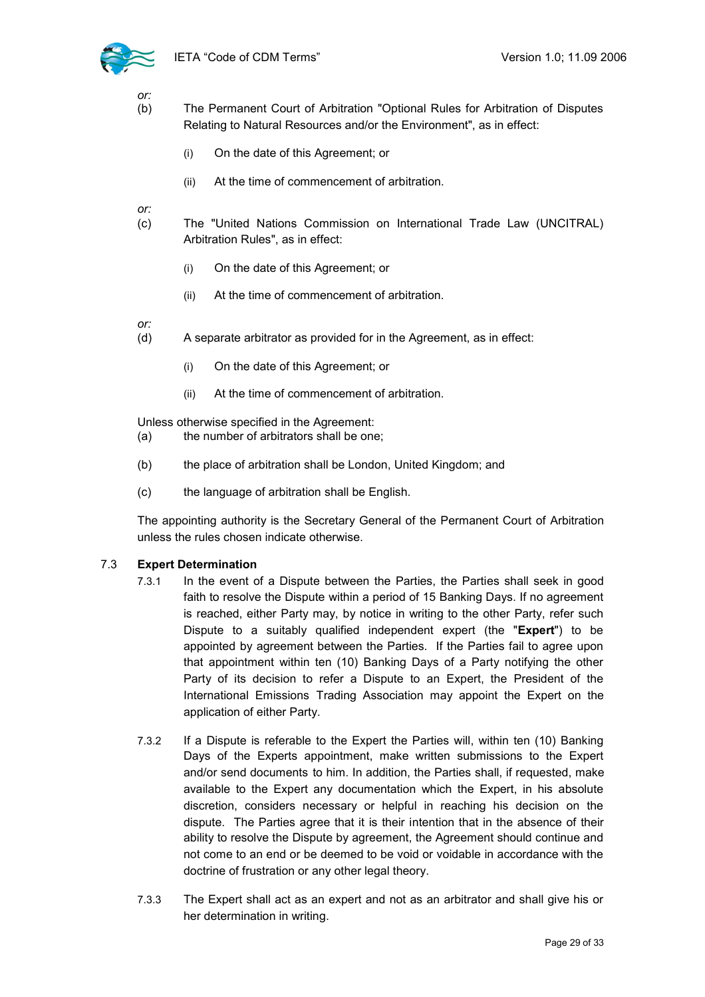

- *or:* (b) The Permanent Court of Arbitration "Optional Rules for Arbitration of Disputes Relating to Natural Resources and/or the Environment", as in effect:
	- (i) On the date of this Agreement; or
	- (ii) At the time of commencement of arbitration.
- *or:*
- (c) The "United Nations Commission on International Trade Law (UNCITRAL) Arbitration Rules", as in effect:
	- (i) On the date of this Agreement; or
	- (ii) At the time of commencement of arbitration.

*or:*

- (d) A separate arbitrator as provided for in the Agreement, as in effect:
	- (i) On the date of this Agreement; or
	- (ii) At the time of commencement of arbitration.

Unless otherwise specified in the Agreement:

- (a) the number of arbitrators shall be one;
- (b) the place of arbitration shall be London, United Kingdom; and
- (c) the language of arbitration shall be English.

The appointing authority is the Secretary General of the Permanent Court of Arbitration unless the rules chosen indicate otherwise.

#### 7.3 **Expert Determination**

- 7.3.1 In the event of a Dispute between the Parties, the Parties shall seek in good faith to resolve the Dispute within a period of 15 Banking Days. If no agreement is reached, either Party may, by notice in writing to the other Party, refer such Dispute to a suitably qualified independent expert (the "**Expert**") to be appointed by agreement between the Parties. If the Parties fail to agree upon that appointment within ten (10) Banking Days of a Party notifying the other Party of its decision to refer a Dispute to an Expert, the President of the International Emissions Trading Association may appoint the Expert on the application of either Party.
- 7.3.2 If a Dispute is referable to the Expert the Parties will, within ten (10) Banking Days of the Experts appointment, make written submissions to the Expert and/or send documents to him. In addition, the Parties shall, if requested, make available to the Expert any documentation which the Expert, in his absolute discretion, considers necessary or helpful in reaching his decision on the dispute. The Parties agree that it is their intention that in the absence of their ability to resolve the Dispute by agreement, the Agreement should continue and not come to an end or be deemed to be void or voidable in accordance with the doctrine of frustration or any other legal theory.
- 7.3.3 The Expert shall act as an expert and not as an arbitrator and shall give his or her determination in writing.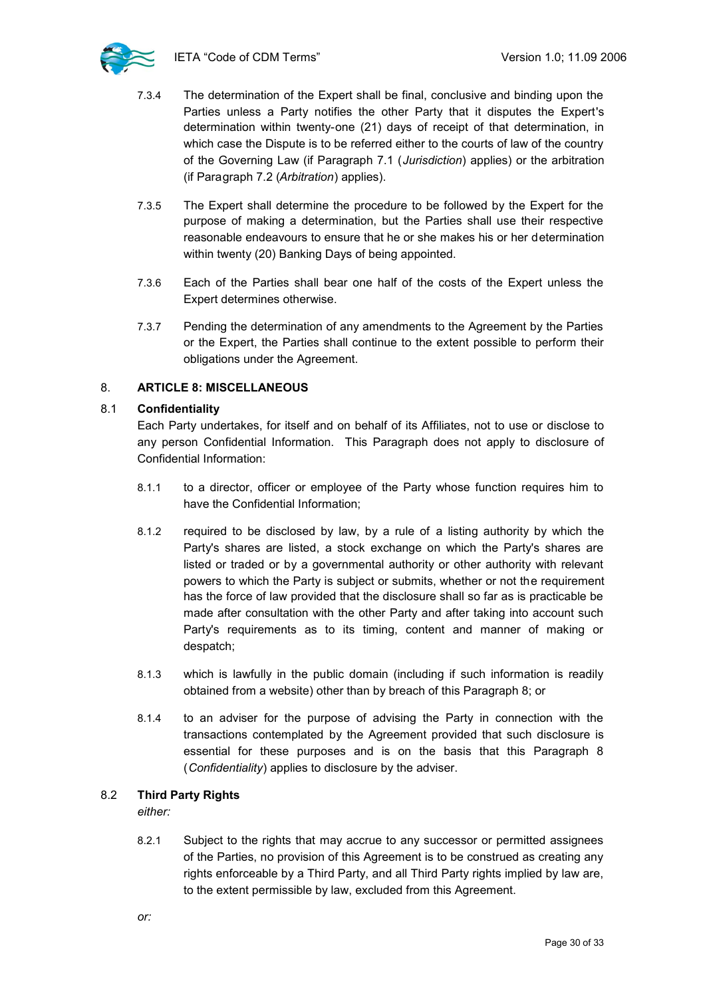

- 7.3.4 The determination of the Expert shall be final, conclusive and binding upon the Parties unless a Party notifies the other Party that it disputes the Expert's determination within twenty-one (21) days of receipt of that determination, in which case the Dispute is to be referred either to the courts of law of the country of the Governing Law (if Paragraph 7.1 (*Jurisdiction*) applies) or the arbitration (if Paragraph 7.2 (*Arbitration*) applies).
- 7.3.5 The Expert shall determine the procedure to be followed by the Expert for the purpose of making a determination, but the Parties shall use their respective reasonable endeavours to ensure that he or she makes his or her determination within twenty (20) Banking Days of being appointed.
- 7.3.6 Each of the Parties shall bear one half of the costs of the Expert unless the Expert determines otherwise.
- 7.3.7 Pending the determination of any amendments to the Agreement by the Parties or the Expert, the Parties shall continue to the extent possible to perform their obligations under the Agreement.

## 8. **ARTICLE 8: MISCELLANEOUS**

## 8.1 **Confidentiality**

Each Party undertakes, for itself and on behalf of its Affiliates, not to use or disclose to any person Confidential Information. This Paragraph does not apply to disclosure of Confidential Information:

- 8.1.1 to a director, officer or employee of the Party whose function requires him to have the Confidential Information;
- 8.1.2 required to be disclosed by law, by a rule of a listing authority by which the Party's shares are listed, a stock exchange on which the Party's shares are listed or traded or by a governmental authority or other authority with relevant powers to which the Party is subject or submits, whether or not the requirement has the force of law provided that the disclosure shall so far as is practicable be made after consultation with the other Party and after taking into account such Party's requirements as to its timing, content and manner of making or despatch;
- 8.1.3 which is lawfully in the public domain (including if such information is readily obtained from a website) other than by breach of this Paragraph 8; or
- 8.1.4 to an adviser for the purpose of advising the Party in connection with the transactions contemplated by the Agreement provided that such disclosure is essential for these purposes and is on the basis that this Paragraph 8 (*Confidentiality*) applies to disclosure by the adviser.

## 8.2 **Third Party Rights**

*either:*

8.2.1 Subject to the rights that may accrue to any successor or permitted assignees of the Parties, no provision of this Agreement is to be construed as creating any rights enforceable by a Third Party, and all Third Party rights implied by law are, to the extent permissible by law, excluded from this Agreement.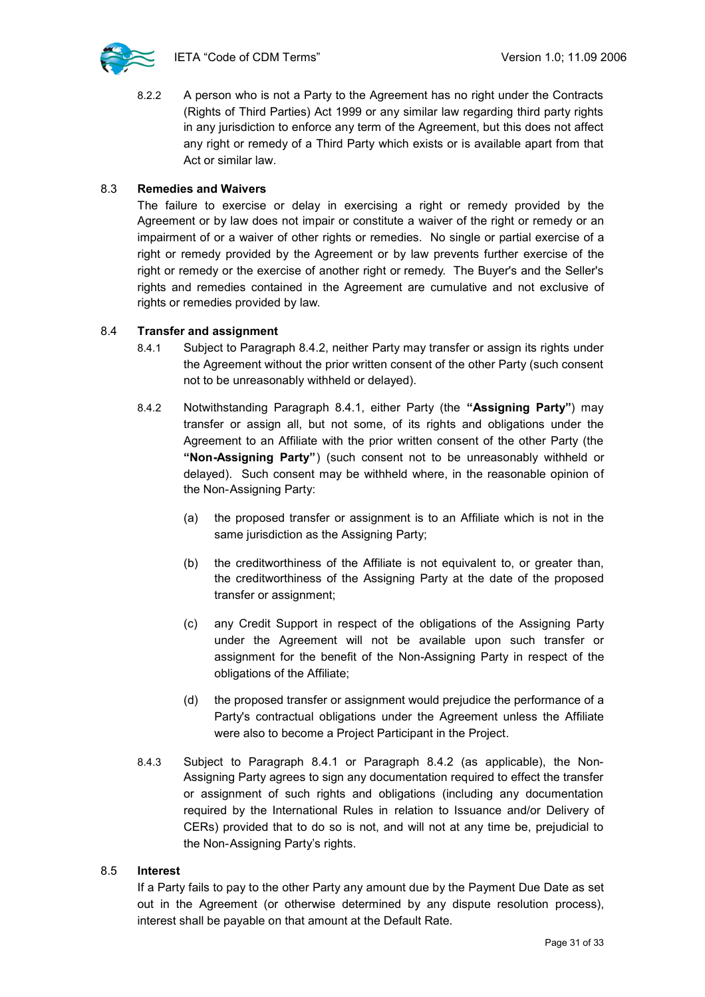

8.2.2 A person who is not a Party to the Agreement has no right under the Contracts (Rights of Third Parties) Act 1999 or any similar law regarding third party rights in any jurisdiction to enforce any term of the Agreement, but this does not affect any right or remedy of a Third Party which exists or is available apart from that Act or similar law.

## 8.3 **Remedies and Waivers**

The failure to exercise or delay in exercising a right or remedy provided by the Agreement or by law does not impair or constitute a waiver of the right or remedy or an impairment of or a waiver of other rights or remedies. No single or partial exercise of a right or remedy provided by the Agreement or by law prevents further exercise of the right or remedy or the exercise of another right or remedy. The Buyer's and the Seller's rights and remedies contained in the Agreement are cumulative and not exclusive of rights or remedies provided by law.

## 8.4 **Transfer and assignment**

- 8.4.1 Subject to Paragraph 8.4.2, neither Party may transfer or assign its rights under the Agreement without the prior written consent of the other Party (such consent not to be unreasonably withheld or delayed).
- 8.4.2 Notwithstanding Paragraph 8.4.1, either Party (the **"Assigning Party"**) may transfer or assign all, but not some, of its rights and obligations under the Agreement to an Affiliate with the prior written consent of the other Party (the **"Non-Assigning Party"**) (such consent not to be unreasonably withheld or delayed). Such consent may be withheld where, in the reasonable opinion of the Non-Assigning Party:
	- (a) the proposed transfer or assignment is to an Affiliate which is not in the same jurisdiction as the Assigning Party;
	- (b) the creditworthiness of the Affiliate is not equivalent to, or greater than, the creditworthiness of the Assigning Party at the date of the proposed transfer or assignment;
	- (c) any Credit Support in respect of the obligations of the Assigning Party under the Agreement will not be available upon such transfer or assignment for the benefit of the Non-Assigning Party in respect of the obligations of the Affiliate;
	- (d) the proposed transfer or assignment would prejudice the performance of a Party's contractual obligations under the Agreement unless the Affiliate were also to become a Project Participant in the Project.
- 8.4.3 Subject to Paragraph 8.4.1 or Paragraph 8.4.2 (as applicable), the Non-Assigning Party agrees to sign any documentation required to effect the transfer or assignment of such rights and obligations (including any documentation required by the International Rules in relation to Issuance and/or Delivery of CERs) provided that to do so is not, and will not at any time be, prejudicial to the Non-Assigning Party's rights.

## 8.5 **Interest**

If a Party fails to pay to the other Party any amount due by the Payment Due Date as set out in the Agreement (or otherwise determined by any dispute resolution process), interest shall be payable on that amount at the Default Rate.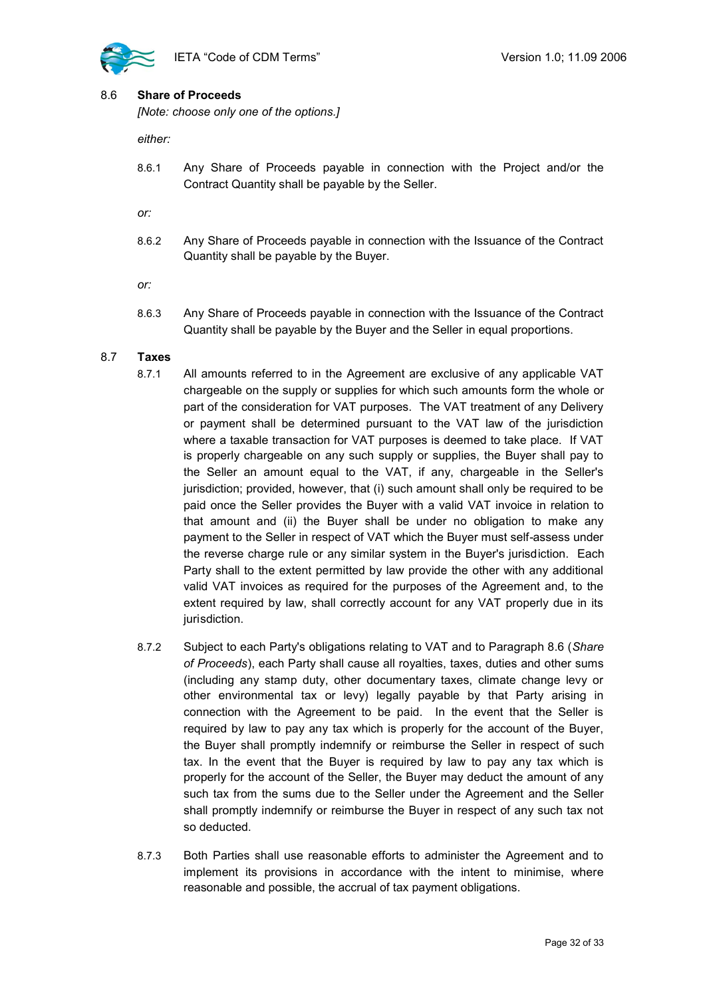

#### 8.6 **Share of Proceeds**

*[Note: choose only one of the options.]*

*either:*

8.6.1 Any Share of Proceeds payable in connection with the Project and/or the Contract Quantity shall be payable by the Seller.

*or:*

8.6.2 Any Share of Proceeds payable in connection with the Issuance of the Contract Quantity shall be payable by the Buyer.

*or:*

8.6.3 Any Share of Proceeds payable in connection with the Issuance of the Contract Quantity shall be payable by the Buyer and the Seller in equal proportions.

#### 8.7 **Taxes**

- 8.7.1 All amounts referred to in the Agreement are exclusive of any applicable VAT chargeable on the supply or supplies for which such amounts form the whole or part of the consideration for VAT purposes. The VAT treatment of any Delivery or payment shall be determined pursuant to the VAT law of the jurisdiction where a taxable transaction for VAT purposes is deemed to take place. If VAT is properly chargeable on any such supply or supplies, the Buyer shall pay to the Seller an amount equal to the VAT, if any, chargeable in the Seller's jurisdiction; provided, however, that (i) such amount shall only be required to be paid once the Seller provides the Buyer with a valid VAT invoice in relation to that amount and (ii) the Buyer shall be under no obligation to make any payment to the Seller in respect of VAT which the Buyer must self-assess under the reverse charge rule or any similar system in the Buyer's jurisdiction. Each Party shall to the extent permitted by law provide the other with any additional valid VAT invoices as required for the purposes of the Agreement and, to the extent required by law, shall correctly account for any VAT properly due in its jurisdiction.
- 8.7.2 Subject to each Party's obligations relating to VAT and to Paragraph 8.6 (*Share of Proceeds*), each Party shall cause all royalties, taxes, duties and other sums (including any stamp duty, other documentary taxes, climate change levy or other environmental tax or levy) legally payable by that Party arising in connection with the Agreement to be paid. In the event that the Seller is required by law to pay any tax which is properly for the account of the Buyer, the Buyer shall promptly indemnify or reimburse the Seller in respect of such tax. In the event that the Buyer is required by law to pay any tax which is properly for the account of the Seller, the Buyer may deduct the amount of any such tax from the sums due to the Seller under the Agreement and the Seller shall promptly indemnify or reimburse the Buyer in respect of any such tax not so deducted.
- 8.7.3 Both Parties shall use reasonable efforts to administer the Agreement and to implement its provisions in accordance with the intent to minimise, where reasonable and possible, the accrual of tax payment obligations.